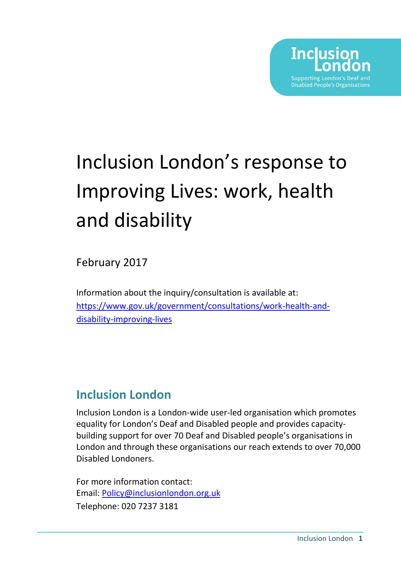

# Inclusion London's response to Improving Lives: work, health and disability

February 2017

Information about the inquiry/consultation is available at: [https://www.gov.uk/government/consultations/work-health-and](https://www.gov.uk/government/consultations/work-health-and-disability-improving-lives)[disability-improving-lives](https://www.gov.uk/government/consultations/work-health-and-disability-improving-lives)

## **Inclusion London**

Inclusion London is a London-wide user-led organisation which promotes equality for London's Deaf and Disabled people and provides capacitybuilding support for over 70 Deaf and Disabled people's organisations in London and through these organisations our reach extends to over 70,000 Disabled Londoners.

For more information contact: Email: [Policy@inclusionlondon.org.uk](mailto:Policy@inclusionlondon.org.uk) Telephone: 020 7237 3181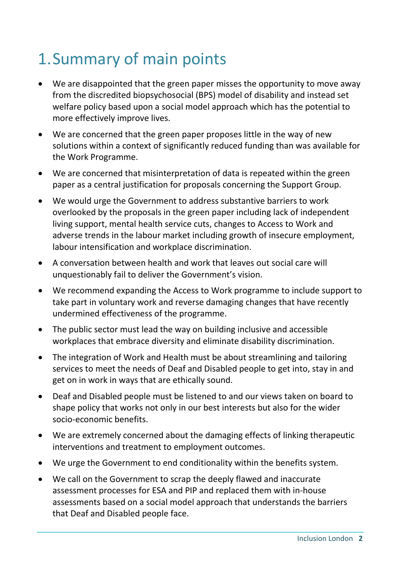## 1.Summary of main points

- We are disappointed that the green paper misses the opportunity to move away from the discredited biopsychosocial (BPS) model of disability and instead set welfare policy based upon a social model approach which has the potential to more effectively improve lives.
- We are concerned that the green paper proposes little in the way of new solutions within a context of significantly reduced funding than was available for the Work Programme.
- We are concerned that misinterpretation of data is repeated within the green paper as a central justification for proposals concerning the Support Group.
- We would urge the Government to address substantive barriers to work overlooked by the proposals in the green paper including lack of independent living support, mental health service cuts, changes to Access to Work and adverse trends in the labour market including growth of insecure employment, labour intensification and workplace discrimination.
- A conversation between health and work that leaves out social care will unquestionably fail to deliver the Government's vision.
- We recommend expanding the Access to Work programme to include support to take part in voluntary work and reverse damaging changes that have recently undermined effectiveness of the programme.
- The public sector must lead the way on building inclusive and accessible workplaces that embrace diversity and eliminate disability discrimination.
- The integration of Work and Health must be about streamlining and tailoring services to meet the needs of Deaf and Disabled people to get into, stay in and get on in work in ways that are ethically sound.
- Deaf and Disabled people must be listened to and our views taken on board to shape policy that works not only in our best interests but also for the wider socio-economic benefits.
- We are extremely concerned about the damaging effects of linking therapeutic interventions and treatment to employment outcomes.
- We urge the Government to end conditionality within the benefits system.
- We call on the Government to scrap the deeply flawed and inaccurate assessment processes for ESA and PIP and replaced them with in-house assessments based on a social model approach that understands the barriers that Deaf and Disabled people face.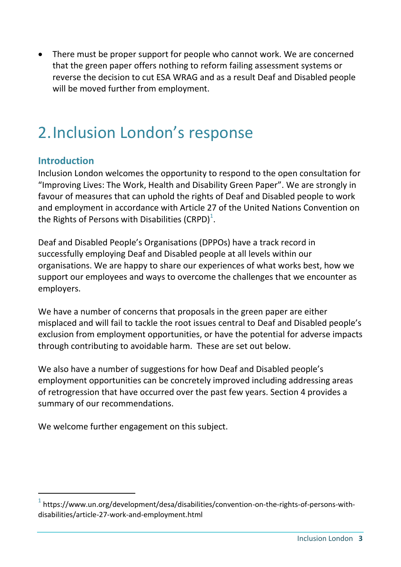• There must be proper support for people who cannot work. We are concerned that the green paper offers nothing to reform failing assessment systems or reverse the decision to cut ESA WRAG and as a result Deaf and Disabled people will be moved further from employment.

## 2.Inclusion London's response

## **Introduction**

-

Inclusion London welcomes the opportunity to respond to the open consultation for "Improving Lives: The Work, Health and Disability Green Paper". We are strongly in favour of measures that can uphold the rights of Deaf and Disabled people to work and employment in accordance with Article 27 of the United Nations Convention on the Rights of Persons with Disabilities (CRPD)<sup>1</sup>.

Deaf and Disabled People's Organisations (DPPOs) have a track record in successfully employing Deaf and Disabled people at all levels within our organisations. We are happy to share our experiences of what works best, how we support our employees and ways to overcome the challenges that we encounter as employers.

We have a number of concerns that proposals in the green paper are either misplaced and will fail to tackle the root issues central to Deaf and Disabled people's exclusion from employment opportunities, or have the potential for adverse impacts through contributing to avoidable harm. These are set out below.

We also have a number of suggestions for how Deaf and Disabled people's employment opportunities can be concretely improved including addressing areas of retrogression that have occurred over the past few years. Section 4 provides a summary of our recommendations.

We welcome further engagement on this subject.

 $^{1}$  https://www.un.org/development/desa/disabilities/convention-on-the-rights-of-persons-withdisabilities/article-27-work-and-employment.html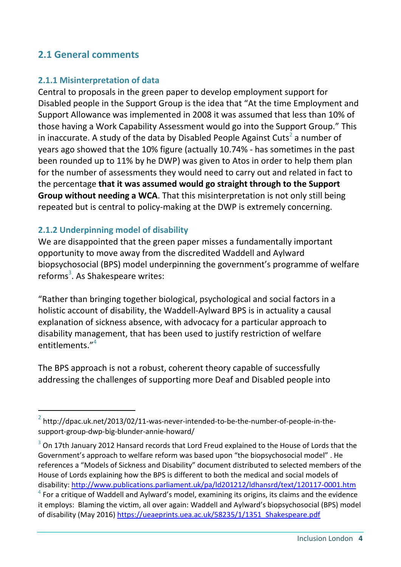## **2.1 General comments**

#### **2.1.1 Misinterpretation of data**

Central to proposals in the green paper to develop employment support for Disabled people in the Support Group is the idea that "At the time Employment and Support Allowance was implemented in 2008 it was assumed that less than 10% of those having a Work Capability Assessment would go into the Support Group." This in inaccurate. A study of the data by Disabled People Against Cuts<sup>2</sup> a number of years ago showed that the 10% figure (actually 10.74% - has sometimes in the past been rounded up to 11% by he DWP) was given to Atos in order to help them plan for the number of assessments they would need to carry out and related in fact to the percentage **that it was assumed would go straight through to the Support Group without needing a WCA**. That this misinterpretation is not only still being repeated but is central to policy-making at the DWP is extremely concerning.

#### **2.1.2 Underpinning model of disability**

-

We are disappointed that the green paper misses a fundamentally important opportunity to move away from the discredited Waddell and Aylward biopsychosocial (BPS) model underpinning the government's programme of welfare reforms<sup>3</sup>. As Shakespeare writes:

"Rather than bringing together biological, psychological and social factors in a holistic account of disability, the Waddell-Aylward BPS is in actuality a causal explanation of sickness absence, with advocacy for a particular approach to disability management, that has been used to justify restriction of welfare entitlements." 4

The BPS approach is not a robust, coherent theory capable of successfully addressing the challenges of supporting more Deaf and Disabled people into

 $2$  http://dpac.uk.net/2013/02/11-was-never-intended-to-be-the-number-of-people-in-thesupport-group-dwp-big-blunder-annie-howard/

 $3$  On 17th January 2012 Hansard records that Lord Freud explained to the House of Lords that the Government's approach to welfare reform was based upon "the biopsychosocial model" . He references a "Models of Sickness and Disability" document distributed to selected members of the House of Lords explaining how the BPS is different to both the medical and social models of disability:<http://www.publications.parliament.uk/pa/ld201212/ldhansrd/text/120117-0001.htm>

 $4$  For a critique of Waddell and Aylward's model, examining its origins, its claims and the evidence it employs: Blaming the victim, all over again: Waddell and Aylward's biopsychosocial (BPS) model of disability (May 2016) [https://ueaeprints.uea.ac.uk/58235/1/1351\\_Shakespeare.pdf](https://ueaeprints.uea.ac.uk/58235/1/1351_Shakespeare.pdf)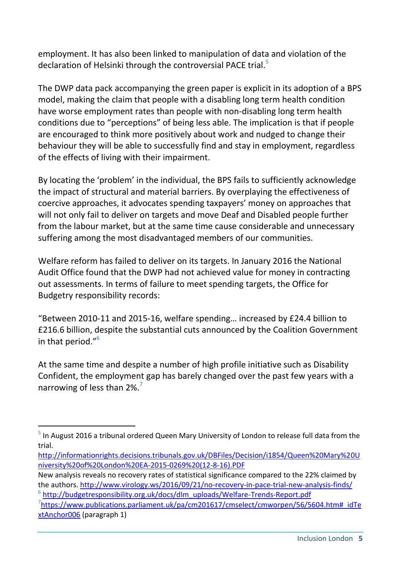employment. It has also been linked to manipulation of data and violation of the declaration of Helsinki through the controversial PACE trial.<sup>5</sup>

The DWP data pack accompanying the green paper is explicit in its adoption of a BPS model, making the claim that people with a disabling long term health condition have worse employment rates than people with non-disabling long term health conditions due to "perceptions" of being less able. The implication is that if people are encouraged to think more positively about work and nudged to change their behaviour they will be able to successfully find and stay in employment, regardless of the effects of living with their impairment.

By locating the 'problem' in the individual, the BPS fails to sufficiently acknowledge the impact of structural and material barriers. By overplaying the effectiveness of coercive approaches, it advocates spending taxpayers' money on approaches that will not only fail to deliver on targets and move Deaf and Disabled people further from the labour market, but at the same time cause considerable and unnecessary suffering among the most disadvantaged members of our communities.

Welfare reform has failed to deliver on its targets. In January 2016 the National Audit Office found that the DWP had not achieved value for money in contracting out assessments. In terms of failure to meet spending targets, the Office for Budgetry responsibility records:

"Between 2010-11 and 2015-16, welfare spending… increased by £24.4 billion to £216.6 billion, despite the substantial cuts announced by the Coalition Government in that period."<sup>6</sup>

At the same time and despite a number of high profile initiative such as Disability Confident, the employment gap has barely changed over the past few years with a narrowing of less than 2%.<sup>7</sup>

<sup>&</sup>lt;sup>5</sup> In August 2016 a tribunal ordered Queen Mary University of London to release full data from the trial.

[http://informationrights.decisions.tribunals.gov.uk/DBFiles/Decision/i1854/Queen%20Mary%20U](http://informationrights.decisions.tribunals.gov.uk/DBFiles/Decision/i1854/Queen%20Mary%20University%20of%20London%20EA-2015-0269%20(12-8-16).PDF) [niversity%20of%20London%20EA-2015-0269%20\(12-8-16\).PDF](http://informationrights.decisions.tribunals.gov.uk/DBFiles/Decision/i1854/Queen%20Mary%20University%20of%20London%20EA-2015-0269%20(12-8-16).PDF)

New analysis reveals no recovery rates of statistical significance compared to the 22% claimed by the authors.<http://www.virology.ws/2016/09/21/no-recovery-in-pace-trial-new-analysis-finds/> <sup>6</sup> [http://budgetresponsibility.org.uk/docs/dlm\\_uploads/Welfare-Trends-Report.pdf](http://budgetresponsibility.org.uk/docs/dlm_uploads/Welfare-Trends-Report.pdf)

<sup>&</sup>lt;sup>7</sup>[https://www.publications.parliament.uk/pa/cm201617/cmselect/cmworpen/56/5604.htm#\\_idTe](https://www.publications.parliament.uk/pa/cm201617/cmselect/cmworpen/56/5604.htm#_idTextAnchor006) [xtAnchor006](https://www.publications.parliament.uk/pa/cm201617/cmselect/cmworpen/56/5604.htm#_idTextAnchor006) (paragraph 1)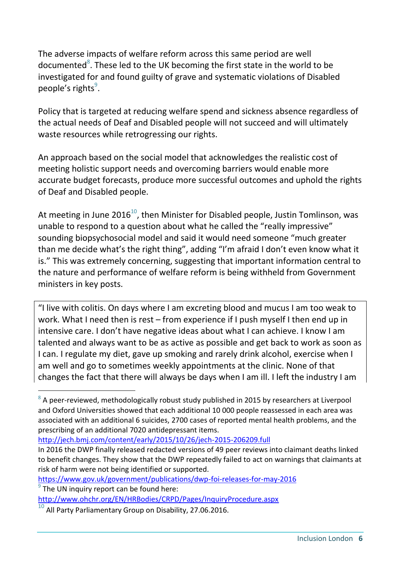The adverse impacts of welfare reform across this same period are well documented<sup>8</sup>. These led to the UK becoming the first state in the world to be investigated for and found guilty of grave and systematic violations of Disabled people's rights<sup>9</sup>.

Policy that is targeted at reducing welfare spend and sickness absence regardless of the actual needs of Deaf and Disabled people will not succeed and will ultimately waste resources while retrogressing our rights.

An approach based on the social model that acknowledges the realistic cost of meeting holistic support needs and overcoming barriers would enable more accurate budget forecasts, produce more successful outcomes and uphold the rights of Deaf and Disabled people.

At meeting in June 2016<sup>10</sup>, then Minister for Disabled people, Justin Tomlinson, was unable to respond to a question about what he called the "really impressive" sounding biopsychosocial model and said it would need someone "much greater than me decide what's the right thing", adding "I'm afraid I don't even know what it is." This was extremely concerning, suggesting that important information central to the nature and performance of welfare reform is being withheld from Government ministers in key posts.

"I live with colitis. On days where I am excreting blood and mucus I am too weak to work. What I need then is rest – from experience if I push myself I then end up in intensive care. I don't have negative ideas about what I can achieve. I know I am talented and always want to be as active as possible and get back to work as soon as I can. I regulate my diet, gave up smoking and rarely drink alcohol, exercise when I am well and go to sometimes weekly appointments at the clinic. None of that changes the fact that there will always be days when I am ill. I left the industry I am

<http://jech.bmj.com/content/early/2015/10/26/jech-2015-206209.full>

<https://www.gov.uk/government/publications/dwp-foi-releases-for-may-2016>

 $8$  A peer-reviewed, methodologically robust study published in 2015 by researchers at Liverpool and Oxford Universities showed that each additional 10 000 people reassessed in each area was associated with an additional 6 suicides, 2700 cases of reported mental health problems, and the prescribing of an additional 7020 antidepressant items.

In 2016 the DWP finally released redacted versions of 49 peer reviews into claimant deaths linked to benefit changes. They show that the DWP repeatedly failed to act on warnings that claimants at risk of harm were not being identified or supported.

 $9$  The UN inquiry report can be found here: <http://www.ohchr.org/EN/HRBodies/CRPD/Pages/InquiryProcedure.aspx>

 $\overline{10}$  All Party Parliamentary Group on Disability, 27.06.2016.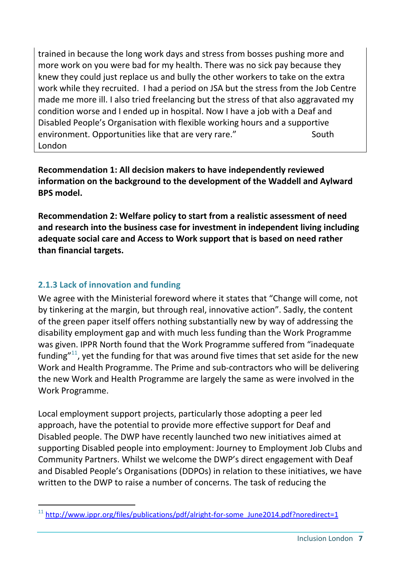trained in because the long work days and stress from bosses pushing more and more work on you were bad for my health. There was no sick pay because they knew they could just replace us and bully the other workers to take on the extra work while they recruited. I had a period on JSA but the stress from the Job Centre made me more ill. I also tried freelancing but the stress of that also aggravated my condition worse and I ended up in hospital. Now I have a job with a Deaf and Disabled People's Organisation with flexible working hours and a supportive environment. Opportunities like that are very rare." South London

**Recommendation 1: All decision makers to have independently reviewed information on the background to the development of the Waddell and Aylward BPS model.**

**Recommendation 2: Welfare policy to start from a realistic assessment of need and research into the business case for investment in independent living including adequate social care and Access to Work support that is based on need rather than financial targets.**

#### **2.1.3 Lack of innovation and funding**

We agree with the Ministerial foreword where it states that "Change will come, not by tinkering at the margin, but through real, innovative action". Sadly, the content of the green paper itself offers nothing substantially new by way of addressing the disability employment gap and with much less funding than the Work Programme was given. IPPR North found that the Work Programme suffered from "inadequate funding" $11$ , yet the funding for that was around five times that set aside for the new Work and Health Programme. The Prime and sub-contractors who will be delivering the new Work and Health Programme are largely the same as were involved in the Work Programme.

Local employment support projects, particularly those adopting a peer led approach, have the potential to provide more effective support for Deaf and Disabled people. The DWP have recently launched two new initiatives aimed at supporting Disabled people into employment: Journey to Employment Job Clubs and Community Partners. Whilst we welcome the DWP's direct engagement with Deaf and Disabled People's Organisations (DDPOs) in relation to these initiatives, we have written to the DWP to raise a number of concerns. The task of reducing the

<sup>-</sup> $11$  [http://www.ippr.org/files/publications/pdf/alright-for-some\\_June2014.pdf?noredirect=1](http://www.ippr.org/files/publications/pdf/alright-for-some_June2014.pdf?noredirect=1)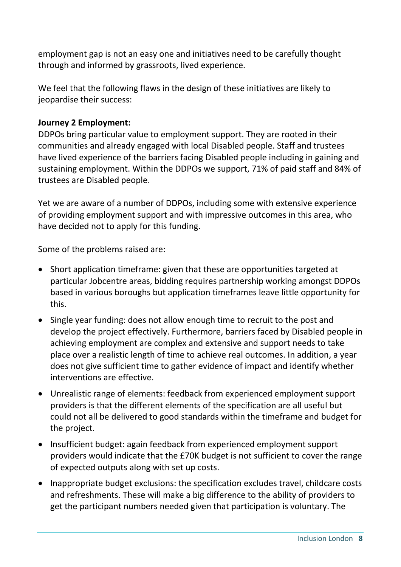employment gap is not an easy one and initiatives need to be carefully thought through and informed by grassroots, lived experience.

We feel that the following flaws in the design of these initiatives are likely to jeopardise their success:

#### **Journey 2 Employment:**

DDPOs bring particular value to employment support. They are rooted in their communities and already engaged with local Disabled people. Staff and trustees have lived experience of the barriers facing Disabled people including in gaining and sustaining employment. Within the DDPOs we support, 71% of paid staff and 84% of trustees are Disabled people.

Yet we are aware of a number of DDPOs, including some with extensive experience of providing employment support and with impressive outcomes in this area, who have decided not to apply for this funding.

Some of the problems raised are:

- Short application timeframe: given that these are opportunities targeted at particular Jobcentre areas, bidding requires partnership working amongst DDPOs based in various boroughs but application timeframes leave little opportunity for this.
- Single year funding: does not allow enough time to recruit to the post and develop the project effectively. Furthermore, barriers faced by Disabled people in achieving employment are complex and extensive and support needs to take place over a realistic length of time to achieve real outcomes. In addition, a year does not give sufficient time to gather evidence of impact and identify whether interventions are effective.
- Unrealistic range of elements: feedback from experienced employment support providers is that the different elements of the specification are all useful but could not all be delivered to good standards within the timeframe and budget for the project.
- Insufficient budget: again feedback from experienced employment support providers would indicate that the £70K budget is not sufficient to cover the range of expected outputs along with set up costs.
- Inappropriate budget exclusions: the specification excludes travel, childcare costs and refreshments. These will make a big difference to the ability of providers to get the participant numbers needed given that participation is voluntary. The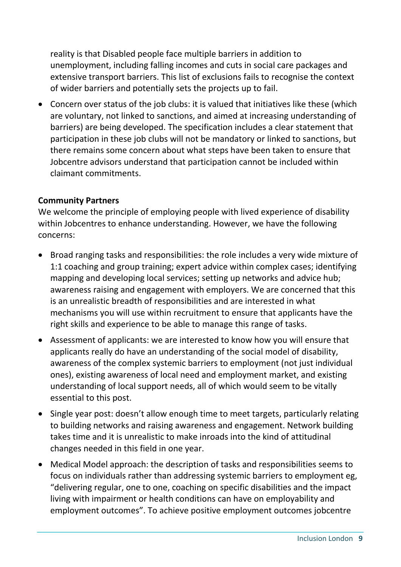reality is that Disabled people face multiple barriers in addition to unemployment, including falling incomes and cuts in social care packages and extensive transport barriers. This list of exclusions fails to recognise the context of wider barriers and potentially sets the projects up to fail.

 Concern over status of the job clubs: it is valued that initiatives like these (which are voluntary, not linked to sanctions, and aimed at increasing understanding of barriers) are being developed. The specification includes a clear statement that participation in these job clubs will not be mandatory or linked to sanctions, but there remains some concern about what steps have been taken to ensure that Jobcentre advisors understand that participation cannot be included within claimant commitments.

#### **Community Partners**

We welcome the principle of employing people with lived experience of disability within Jobcentres to enhance understanding. However, we have the following concerns:

- Broad ranging tasks and responsibilities: the role includes a very wide mixture of 1:1 coaching and group training; expert advice within complex cases; identifying mapping and developing local services; setting up networks and advice hub; awareness raising and engagement with employers. We are concerned that this is an unrealistic breadth of responsibilities and are interested in what mechanisms you will use within recruitment to ensure that applicants have the right skills and experience to be able to manage this range of tasks.
- Assessment of applicants: we are interested to know how you will ensure that applicants really do have an understanding of the social model of disability, awareness of the complex systemic barriers to employment (not just individual ones), existing awareness of local need and employment market, and existing understanding of local support needs, all of which would seem to be vitally essential to this post.
- Single year post: doesn't allow enough time to meet targets, particularly relating to building networks and raising awareness and engagement. Network building takes time and it is unrealistic to make inroads into the kind of attitudinal changes needed in this field in one year.
- Medical Model approach: the description of tasks and responsibilities seems to focus on individuals rather than addressing systemic barriers to employment eg, "delivering regular, one to one, coaching on specific disabilities and the impact living with impairment or health conditions can have on employability and employment outcomes". To achieve positive employment outcomes jobcentre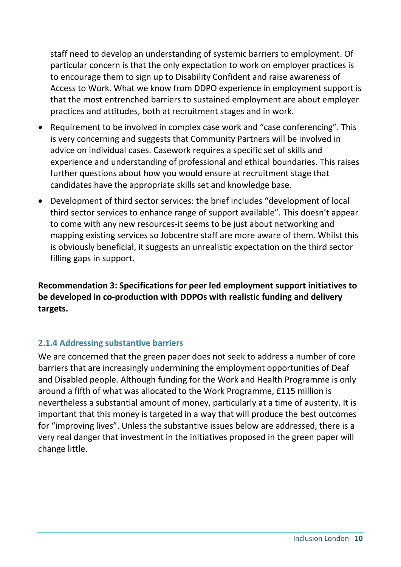staff need to develop an understanding of systemic barriers to employment. Of particular concern is that the only expectation to work on employer practices is to encourage them to sign up to Disability Confident and raise awareness of Access to Work. What we know from DDPO experience in employment support is that the most entrenched barriers to sustained employment are about employer practices and attitudes, both at recruitment stages and in work.

- Requirement to be involved in complex case work and "case conferencing". This is very concerning and suggests that Community Partners will be involved in advice on individual cases. Casework requires a specific set of skills and experience and understanding of professional and ethical boundaries. This raises further questions about how you would ensure at recruitment stage that candidates have the appropriate skills set and knowledge base.
- Development of third sector services: the brief includes "development of local third sector services to enhance range of support available". This doesn't appear to come with any new resources-it seems to be just about networking and mapping existing services so Jobcentre staff are more aware of them. Whilst this is obviously beneficial, it suggests an unrealistic expectation on the third sector filling gaps in support.

**Recommendation 3: Specifications for peer led employment support initiatives to be developed in co-production with DDPOs with realistic funding and delivery targets.**

#### **2.1.4 Addressing substantive barriers**

We are concerned that the green paper does not seek to address a number of core barriers that are increasingly undermining the employment opportunities of Deaf and Disabled people. Although funding for the Work and Health Programme is only around a fifth of what was allocated to the Work Programme, £115 million is nevertheless a substantial amount of money, particularly at a time of austerity. It is important that this money is targeted in a way that will produce the best outcomes for "improving lives". Unless the substantive issues below are addressed, there is a very real danger that investment in the initiatives proposed in the green paper will change little.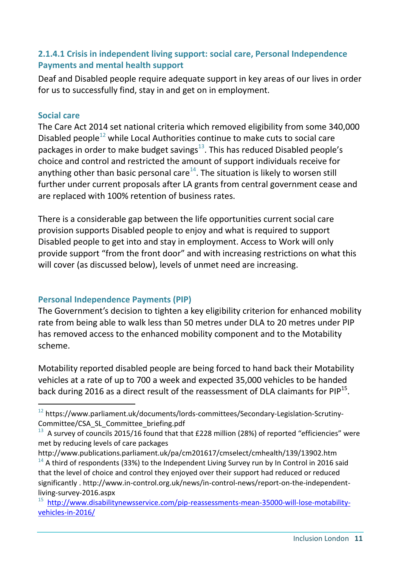#### **2.1.4.1 Crisis in independent living support: social care, Personal Independence Payments and mental health support**

Deaf and Disabled people require adequate support in key areas of our lives in order for us to successfully find, stay in and get on in employment.

#### **Social care**

-

The Care Act 2014 set national criteria which removed eligibility from some 340,000 Disabled people $^{12}$  while Local Authorities continue to make cuts to social care packages in order to make budget savings $^{13}$ . This has reduced Disabled people's choice and control and restricted the amount of support individuals receive for anything other than basic personal care<sup>14</sup>. The situation is likely to worsen still further under current proposals after LA grants from central government cease and are replaced with 100% retention of business rates.

There is a considerable gap between the life opportunities current social care provision supports Disabled people to enjoy and what is required to support Disabled people to get into and stay in employment. Access to Work will only provide support "from the front door" and with increasing restrictions on what this will cover (as discussed below), levels of unmet need are increasing.

#### **Personal Independence Payments (PIP)**

The Government's decision to tighten a key eligibility criterion for enhanced mobility rate from being able to walk less than 50 metres under DLA to 20 metres under PIP has removed access to the enhanced mobility component and to the Motability scheme.

Motability reported disabled people are being forced to hand back their Motability vehicles at a rate of up to 700 a week and expected 35,000 vehicles to be handed back during 2016 as a direct result of the reassessment of DLA claimants for PIP $^{15}$ .

 $12$  https://www.parliament.uk/documents/lords-committees/Secondary-Legislation-Scrutiny-Committee/CSA\_SL\_Committee\_briefing.pdf

<sup>&</sup>lt;sup>13</sup> A survey of councils 2015/16 found that that £228 million (28%) of reported "efficiencies" were met by reducing levels of care packages

http://www.publications.parliament.uk/pa/cm201617/cmselect/cmhealth/139/13902.htm

 $14$  A third of respondents (33%) to the Independent Living Survey run by In Control in 2016 said that the level of choice and control they enjoyed over their support had reduced or reduced significantly . http://www.in-control.org.uk/news/in-control-news/report-on-the-independentliving-survey-2016.aspx

<sup>15</sup> [http://www.disabilitynewsservice.com/pip-reassessments-mean-35000-will-lose-motability](http://www.disabilitynewsservice.com/pip-reassessments-mean-35000-will-lose-motability-vehicles-in-2016/)[vehicles-in-2016/](http://www.disabilitynewsservice.com/pip-reassessments-mean-35000-will-lose-motability-vehicles-in-2016/)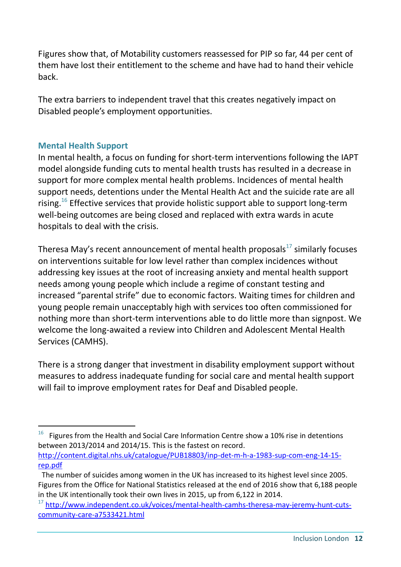Figures show that, of Motability customers reassessed for PIP so far, 44 per cent of them have lost their entitlement to the scheme and have had to hand their vehicle back.

The extra barriers to independent travel that this creates negatively impact on Disabled people's employment opportunities.

#### **Mental Health Support**

-

In mental health, a focus on funding for short-term interventions following the IAPT model alongside funding cuts to mental health trusts has resulted in a decrease in support for more complex mental health problems. Incidences of mental health support needs, detentions under the Mental Health Act and the suicide rate are all rising.<sup>16</sup> Effective services that provide holistic support able to support long-term well-being outcomes are being closed and replaced with extra wards in acute hospitals to deal with the crisis.

Theresa May's recent announcement of mental health proposals $^{17}$  similarly focuses on interventions suitable for low level rather than complex incidences without addressing key issues at the root of increasing anxiety and mental health support needs among young people which include a regime of constant testing and increased "parental strife" due to economic factors. Waiting times for children and young people remain unacceptably high with services too often commissioned for nothing more than short-term interventions able to do little more than signpost. We welcome the long-awaited a review into Children and Adolescent Mental Health Services (CAMHS).

There is a strong danger that investment in disability employment support without measures to address inadequate funding for social care and mental health support will fail to improve employment rates for Deaf and Disabled people.

<sup>16</sup> Figures from the Health and Social Care Information Centre show a 10% rise in detentions between 2013/2014 and 2014/15. This is the fastest on record. [http://content.digital.nhs.uk/catalogue/PUB18803/inp-det-m-h-a-1983-sup-com-eng-14-15](http://content.digital.nhs.uk/catalogue/PUB18803/inp-det-m-h-a-1983-sup-com-eng-14-15-rep.pdf) [rep.pdf](http://content.digital.nhs.uk/catalogue/PUB18803/inp-det-m-h-a-1983-sup-com-eng-14-15-rep.pdf)

The number of suicides among women in the UK has increased to its highest level since 2005. Figures from the Office for National Statistics released at the end of 2016 show that 6,188 people in the UK intentionally took their own lives in 2015, up from 6,122 in 2014.

<sup>&</sup>lt;sup>17</sup> [http://www.independent.co.uk/voices/mental-health-camhs-theresa-may-jeremy-hunt-cuts](http://www.independent.co.uk/voices/mental-health-camhs-theresa-may-jeremy-hunt-cuts-community-care-a7533421.html)[community-care-a7533421.html](http://www.independent.co.uk/voices/mental-health-camhs-theresa-may-jeremy-hunt-cuts-community-care-a7533421.html)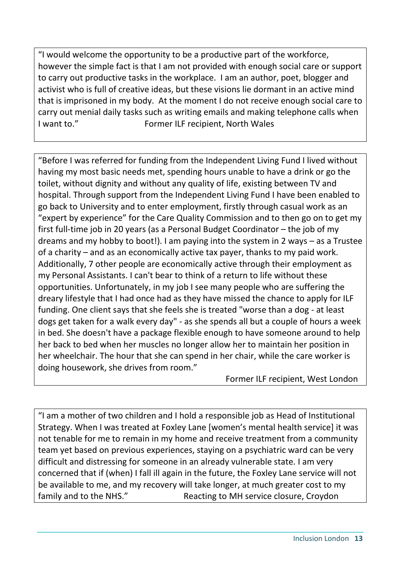"I would welcome the opportunity to be a productive part of the workforce, however the simple fact is that I am not provided with enough social care or support to carry out productive tasks in the workplace. I am an author, poet, blogger and activist who is full of creative ideas, but these visions lie dormant in an active mind that is imprisoned in my body. At the moment I do not receive enough social care to carry out menial daily tasks such as writing emails and making telephone calls when I want to." Former ILF recipient, North Wales

"Before I was referred for funding from the Independent Living Fund I lived without having my most basic needs met, spending hours unable to have a drink or go the toilet, without dignity and without any quality of life, existing between TV and hospital. Through support from the Independent Living Fund I have been enabled to go back to University and to enter employment, firstly through casual work as an "expert by experience" for the Care Quality Commission and to then go on to get my first full-time job in 20 years (as a Personal Budget Coordinator – the job of my dreams and my hobby to boot!). I am paying into the system in 2 ways – as a Trustee of a charity – and as an economically active tax payer, thanks to my paid work. Additionally, 7 other people are economically active through their employment as my Personal Assistants. I can't bear to think of a return to life without these opportunities. Unfortunately, in my job I see many people who are suffering the dreary lifestyle that I had once had as they have missed the chance to apply for ILF funding. One client says that she feels she is treated "worse than a dog - at least dogs get taken for a walk every day" - as she spends all but a couple of hours a week in bed. She doesn't have a package flexible enough to have someone around to help her back to bed when her muscles no longer allow her to maintain her position in her wheelchair. The hour that she can spend in her chair, while the care worker is doing housework, she drives from room."

Former ILF recipient, West London

"I am a mother of two children and I hold a responsible job as Head of Institutional Strategy. When I was treated at Foxley Lane [women's mental health service] it was not tenable for me to remain in my home and receive treatment from a community team yet based on previous experiences, staying on a psychiatric ward can be very difficult and distressing for someone in an already vulnerable state. I am very concerned that if (when) I fall ill again in the future, the Foxley Lane service will not be available to me, and my recovery will take longer, at much greater cost to my family and to the NHS." Reacting to MH service closure, Croydon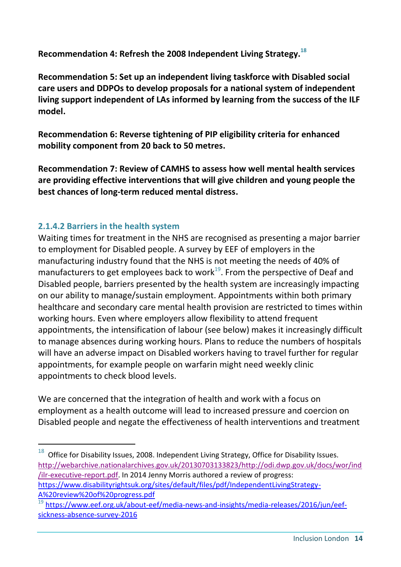**Recommendation 4: Refresh the 2008 Independent Living Strategy. 18**

**Recommendation 5: Set up an independent living taskforce with Disabled social care users and DDPOs to develop proposals for a national system of independent living support independent of LAs informed by learning from the success of the ILF model.**

**Recommendation 6: Reverse tightening of PIP eligibility criteria for enhanced mobility component from 20 back to 50 metres.**

**Recommendation 7: Review of CAMHS to assess how well mental health services are providing effective interventions that will give children and young people the best chances of long-term reduced mental distress.**

#### **2.1.4.2 Barriers in the health system**

1

Waiting times for treatment in the NHS are recognised as presenting a major barrier to employment for Disabled people. A survey by EEF of employers in the manufacturing industry found that the NHS is not meeting the needs of 40% of manufacturers to get employees back to work $^{19}$ . From the perspective of Deaf and Disabled people, barriers presented by the health system are increasingly impacting on our ability to manage/sustain employment. Appointments within both primary healthcare and secondary care mental health provision are restricted to times within working hours. Even where employers allow flexibility to attend frequent appointments, the intensification of labour (see below) makes it increasingly difficult to manage absences during working hours. Plans to reduce the numbers of hospitals will have an adverse impact on Disabled workers having to travel further for regular appointments, for example people on warfarin might need weekly clinic appointments to check blood levels.

We are concerned that the integration of health and work with a focus on employment as a health outcome will lead to increased pressure and coercion on Disabled people and negate the effectiveness of health interventions and treatment

 $18$  Office for Disability Issues, 2008. Independent Living Strategy, Office for Disability Issues. [http://webarchive.nationalarchives.gov.uk/20130703133823/http://odi.dwp.gov.uk/docs/wor/ind](http://webarchive.nationalarchives.gov.uk/20130703133823/http:/odi.dwp.gov.uk/docs/wor/ind/ilr-executive-report.pdf) [/ilr-executive-report.pdf.](http://webarchive.nationalarchives.gov.uk/20130703133823/http:/odi.dwp.gov.uk/docs/wor/ind/ilr-executive-report.pdf) In 2014 Jenny Morris authored a review of progress: [https://www.disabilityrightsuk.org/sites/default/files/pdf/IndependentLivingStrategy-](https://www.disabilityrightsuk.org/sites/default/files/pdf/IndependentLivingStrategy-A%20review%20of%20progress.pdf)[A%20review%20of%20progress.pdf](https://www.disabilityrightsuk.org/sites/default/files/pdf/IndependentLivingStrategy-A%20review%20of%20progress.pdf)

<sup>19</sup> [https://www.eef.org.uk/about-eef/media-news-and-insights/media-releases/2016/jun/eef](https://www.eef.org.uk/about-eef/media-news-and-insights/media-releases/2016/jun/eef-sickness-absence-survey-2016)[sickness-absence-survey-2016](https://www.eef.org.uk/about-eef/media-news-and-insights/media-releases/2016/jun/eef-sickness-absence-survey-2016)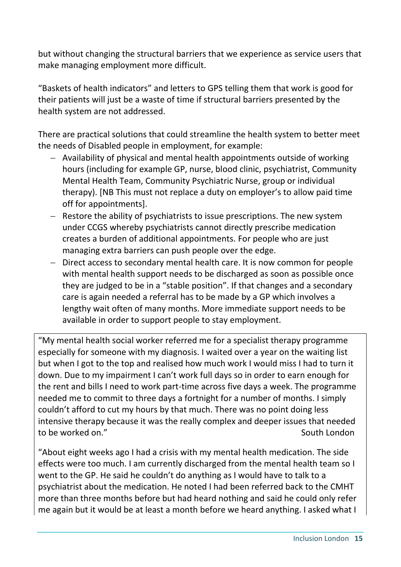but without changing the structural barriers that we experience as service users that make managing employment more difficult.

"Baskets of health indicators" and letters to GPS telling them that work is good for their patients will just be a waste of time if structural barriers presented by the health system are not addressed.

There are practical solutions that could streamline the health system to better meet the needs of Disabled people in employment, for example:

- Availability of physical and mental health appointments outside of working hours (including for example GP, nurse, blood clinic, psychiatrist, Community Mental Health Team, Community Psychiatric Nurse, group or individual therapy). [NB This must not replace a duty on employer's to allow paid time off for appointments].
- Restore the ability of psychiatrists to issue prescriptions. The new system under CCGS whereby psychiatrists cannot directly prescribe medication creates a burden of additional appointments. For people who are just managing extra barriers can push people over the edge.
- Direct access to secondary mental health care. It is now common for people with mental health support needs to be discharged as soon as possible once they are judged to be in a "stable position". If that changes and a secondary care is again needed a referral has to be made by a GP which involves a lengthy wait often of many months. More immediate support needs to be available in order to support people to stay employment.

"My mental health social worker referred me for a specialist therapy programme especially for someone with my diagnosis. I waited over a year on the waiting list but when I got to the top and realised how much work I would miss I had to turn it down. Due to my impairment I can't work full days so in order to earn enough for the rent and bills I need to work part-time across five days a week. The programme needed me to commit to three days a fortnight for a number of months. I simply couldn't afford to cut my hours by that much. There was no point doing less intensive therapy because it was the really complex and deeper issues that needed to be worked on." The state of the state of the state of the state of the state of the state of the state of the state of the state of the state of the state of the state of the state of the state of the state of the state

"About eight weeks ago I had a crisis with my mental health medication. The side effects were too much. I am currently discharged from the mental health team so I went to the GP. He said he couldn't do anything as I would have to talk to a psychiatrist about the medication. He noted I had been referred back to the CMHT more than three months before but had heard nothing and said he could only refer me again but it would be at least a month before we heard anything. I asked what I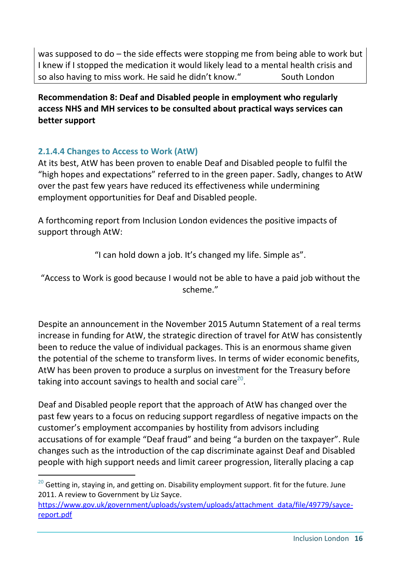was supposed to do – the side effects were stopping me from being able to work but I knew if I stopped the medication it would likely lead to a mental health crisis and so also having to miss work. He said he didn't know." South London

**Recommendation 8: Deaf and Disabled people in employment who regularly access NHS and MH services to be consulted about practical ways services can better support**

## **2.1.4.4 Changes to Access to Work (AtW)**

-

At its best, AtW has been proven to enable Deaf and Disabled people to fulfil the "high hopes and expectations" referred to in the green paper. Sadly, changes to AtW over the past few years have reduced its effectiveness while undermining employment opportunities for Deaf and Disabled people.

A forthcoming report from Inclusion London evidences the positive impacts of support through AtW:

"I can hold down a job. It's changed my life. Simple as".

"Access to Work is good because I would not be able to have a paid job without the scheme."

Despite an announcement in the November 2015 Autumn Statement of a real terms increase in funding for AtW, the strategic direction of travel for AtW has consistently been to reduce the value of individual packages. This is an enormous shame given the potential of the scheme to transform lives. In terms of wider economic benefits, AtW has been proven to produce a surplus on investment for the Treasury before taking into account savings to health and social care<sup>20</sup>.

Deaf and Disabled people report that the approach of AtW has changed over the past few years to a focus on reducing support regardless of negative impacts on the customer's employment accompanies by hostility from advisors including accusations of for example "Deaf fraud" and being "a burden on the taxpayer". Rule changes such as the introduction of the cap discriminate against Deaf and Disabled people with high support needs and limit career progression, literally placing a cap

 $20$  Getting in, staying in, and getting on. Disability employment support. fit for the future. June 2011. A review to Government by Liz Sayce.

[https://www.gov.uk/government/uploads/system/uploads/attachment\\_data/file/49779/sayce](https://www.gov.uk/government/uploads/system/uploads/attachment_data/file/49779/sayce-report.pdf)[report.pdf](https://www.gov.uk/government/uploads/system/uploads/attachment_data/file/49779/sayce-report.pdf)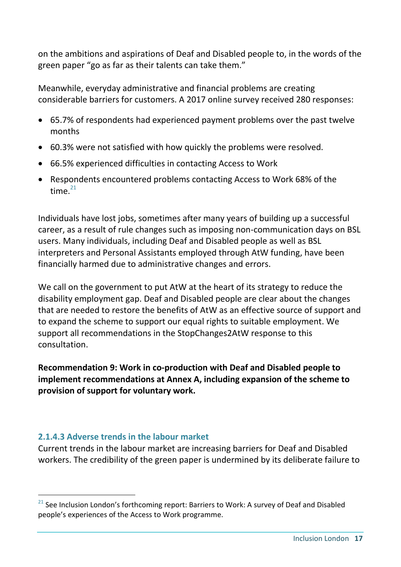on the ambitions and aspirations of Deaf and Disabled people to, in the words of the green paper "go as far as their talents can take them."

Meanwhile, everyday administrative and financial problems are creating considerable barriers for customers. A 2017 online survey received 280 responses:

- 65.7% of respondents had experienced payment problems over the past twelve months
- 60.3% were not satisfied with how quickly the problems were resolved.
- 66.5% experienced difficulties in contacting Access to Work
- Respondents encountered problems contacting Access to Work 68% of the time $^{21}$

Individuals have lost jobs, sometimes after many years of building up a successful career, as a result of rule changes such as imposing non-communication days on BSL users. Many individuals, including Deaf and Disabled people as well as BSL interpreters and Personal Assistants employed through AtW funding, have been financially harmed due to administrative changes and errors.

We call on the government to put AtW at the heart of its strategy to reduce the disability employment gap. Deaf and Disabled people are clear about the changes that are needed to restore the benefits of AtW as an effective source of support and to expand the scheme to support our equal rights to suitable employment. We support all recommendations in the StopChanges2AtW response to this consultation.

**Recommendation 9: Work in co-production with Deaf and Disabled people to implement recommendations at Annex A, including expansion of the scheme to provision of support for voluntary work.**

#### **2.1.4.3 Adverse trends in the labour market**

-

Current trends in the labour market are increasing barriers for Deaf and Disabled workers. The credibility of the green paper is undermined by its deliberate failure to

 $21$  See Inclusion London's forthcoming report: Barriers to Work: A survey of Deaf and Disabled people's experiences of the Access to Work programme.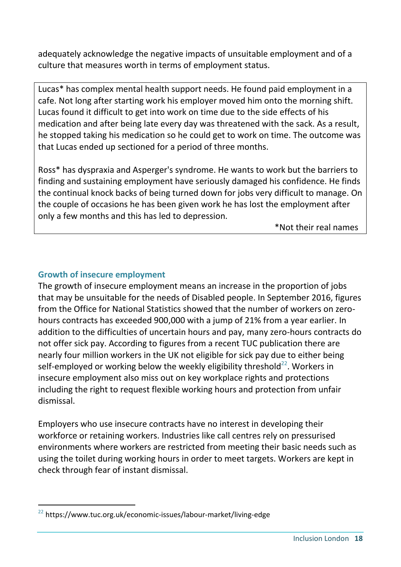adequately acknowledge the negative impacts of unsuitable employment and of a culture that measures worth in terms of employment status.

Lucas\* has complex mental health support needs. He found paid employment in a cafe. Not long after starting work his employer moved him onto the morning shift. Lucas found it difficult to get into work on time due to the side effects of his medication and after being late every day was threatened with the sack. As a result, he stopped taking his medication so he could get to work on time. The outcome was that Lucas ended up sectioned for a period of three months.

Ross\* has dyspraxia and Asperger's syndrome. He wants to work but the barriers to finding and sustaining employment have seriously damaged his confidence. He finds the continual knock backs of being turned down for jobs very difficult to manage. On the couple of occasions he has been given work he has lost the employment after only a few months and this has led to depression.

\*Not their real names

#### **Growth of insecure employment**

The growth of insecure employment means an increase in the proportion of jobs that may be unsuitable for the needs of Disabled people. In September 2016, figures from the Office for National Statistics showed that the number of workers on zerohours contracts has exceeded 900,000 with a jump of 21% from a year earlier. In addition to the difficulties of uncertain hours and pay, many zero-hours contracts do not offer sick pay. According to figures from a recent TUC publication there are nearly four million workers in the UK not eligible for sick pay due to either being self-employed or working below the weekly eligibility threshold $^{22}$ . Workers in insecure employment also miss out on key workplace rights and protections including the right to request flexible working hours and protection from unfair dismissal.

Employers who use insecure contracts have no interest in developing their workforce or retaining workers. Industries like call centres rely on pressurised environments where workers are restricted from meeting their basic needs such as using the toilet during working hours in order to meet targets. Workers are kept in check through fear of instant dismissal.

<sup>-</sup> $22$  https://www.tuc.org.uk/economic-issues/labour-market/living-edge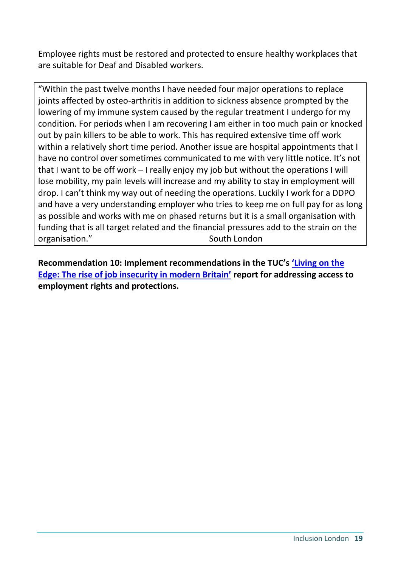Employee rights must be restored and protected to ensure healthy workplaces that are suitable for Deaf and Disabled workers.

"Within the past twelve months I have needed four major operations to replace joints affected by osteo-arthritis in addition to sickness absence prompted by the lowering of my immune system caused by the regular treatment I undergo for my condition. For periods when I am recovering I am either in too much pain or knocked out by pain killers to be able to work. This has required extensive time off work within a relatively short time period. Another issue are hospital appointments that I have no control over sometimes communicated to me with very little notice. It's not that I want to be off work – I really enjoy my job but without the operations I will lose mobility, my pain levels will increase and my ability to stay in employment will drop. I can't think my way out of needing the operations. Luckily I work for a DDPO and have a very understanding employer who tries to keep me on full pay for as long as possible and works with me on phased returns but it is a small organisation with funding that is all target related and the financial pressures add to the strain on the organisation." South London

**Recommendation 10: Implement recommendations in the TUC's ['Living on the](https://www.tuc.org.uk/economic-issues/labour-market/living-edge)  [Edge: The rise of job insecurity in modern Britain'](https://www.tuc.org.uk/economic-issues/labour-market/living-edge) report for addressing access to employment rights and protections.**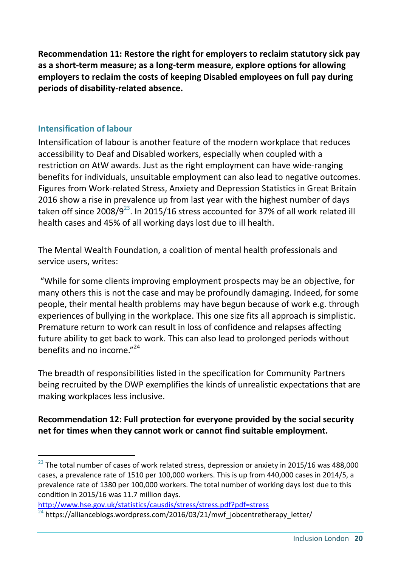**Recommendation 11: Restore the right for employers to reclaim statutory sick pay as a short-term measure; as a long-term measure, explore options for allowing employers to reclaim the costs of keeping Disabled employees on full pay during periods of disability-related absence.**

#### **Intensification of labour**

-

Intensification of labour is another feature of the modern workplace that reduces accessibility to Deaf and Disabled workers, especially when coupled with a restriction on AtW awards. Just as the right employment can have wide-ranging benefits for individuals, unsuitable employment can also lead to negative outcomes. Figures from Work-related Stress, Anxiety and Depression Statistics in Great Britain 2016 show a rise in prevalence up from last year with the highest number of days taken off since 2008/9<sup>23</sup>. In 2015/16 stress accounted for 37% of all work related ill health cases and 45% of all working days lost due to ill health.

The Mental Wealth Foundation, a coalition of mental health professionals and service users, writes:

"While for some clients improving employment prospects may be an objective, for many others this is not the case and may be profoundly damaging. Indeed, for some people, their mental health problems may have begun because of work e.g. through experiences of bullying in the workplace. This one size fits all approach is simplistic. Premature return to work can result in loss of confidence and relapses affecting future ability to get back to work. This can also lead to prolonged periods without benefits and no income."<sup>24</sup>

The breadth of responsibilities listed in the specification for Community Partners being recruited by the DWP exemplifies the kinds of unrealistic expectations that are making workplaces less inclusive.

#### **Recommendation 12: Full protection for everyone provided by the social security net for times when they cannot work or cannot find suitable employment.**

```
http://www.hse.gov.uk/statistics/causdis/stress/stress.pdf?pdf=stress
```
 $^{23}$  The total number of cases of work related stress, depression or anxiety in 2015/16 was 488,000 cases, a prevalence rate of 1510 per 100,000 workers. This is up from 440,000 cases in 2014/5, a prevalence rate of 1380 per 100,000 workers. The total number of working days lost due to this condition in 2015/16 was 11.7 million days.

 $24$  https://allianceblogs.wordpress.com/2016/03/21/mwf\_jobcentretherapy\_letter/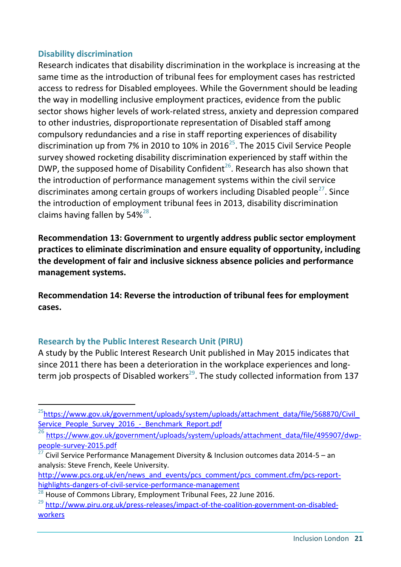#### **Disability discrimination**

Research indicates that disability discrimination in the workplace is increasing at the same time as the introduction of tribunal fees for employment cases has restricted access to redress for Disabled employees. While the Government should be leading the way in modelling inclusive employment practices, evidence from the public sector shows higher levels of work-related stress, anxiety and depression compared to other industries, disproportionate representation of Disabled staff among compulsory redundancies and a rise in staff reporting experiences of disability discrimination up from 7% in 2010 to 10% in 2016<sup>25</sup>. The 2015 Civil Service People survey showed rocketing disability discrimination experienced by staff within the DWP, the supposed home of Disability Confident<sup>26</sup>. Research has also shown that the introduction of performance management systems within the civil service discriminates among certain groups of workers including Disabled people<sup>27</sup>. Since the introduction of employment tribunal fees in 2013, disability discrimination claims having fallen by  $54\%^{28}$ .

**Recommendation 13: Government to urgently address public sector employment practices to eliminate discrimination and ensure equality of opportunity, including the development of fair and inclusive sickness absence policies and performance management systems.**

**Recommendation 14: Reverse the introduction of tribunal fees for employment cases.**

#### **Research by the Public Interest Research Unit (PIRU)**

-

A study by the Public Interest Research Unit published in May 2015 indicates that since 2011 there has been a deterioration in the workplace experiences and longterm job prospects of Disabled workers<sup>29</sup>. The study collected information from 137

<sup>&</sup>lt;sup>25</sup>[https://www.gov.uk/government/uploads/system/uploads/attachment\\_data/file/568870/Civil\\_](https://www.gov.uk/government/uploads/system/uploads/attachment_data/file/568870/Civil_Service_People_Survey_2016_-_Benchmark_Report.pdf) Service People Survey 2016 - Benchmark Report.pdf

<sup>&</sup>lt;sup>26</sup> [https://www.gov.uk/government/uploads/system/uploads/attachment\\_data/file/495907/dwp](https://www.gov.uk/government/uploads/system/uploads/attachment_data/file/495907/dwp-people-survey-2015.pdf)[people-survey-2015.pdf](https://www.gov.uk/government/uploads/system/uploads/attachment_data/file/495907/dwp-people-survey-2015.pdf)

<sup>&</sup>lt;sup>27</sup> Civil Service Performance Management Diversity & Inclusion outcomes data 2014-5 – an analysis: Steve French, Keele University.

[http://www.pcs.org.uk/en/news\\_and\\_events/pcs\\_comment/pcs\\_comment.cfm/pcs-report](http://www.pcs.org.uk/en/news_and_events/pcs_comment/pcs_comment.cfm/pcs-report-highlights-dangers-of-civil-service-performance-management)[highlights-dangers-of-civil-service-performance-management](http://www.pcs.org.uk/en/news_and_events/pcs_comment/pcs_comment.cfm/pcs-report-highlights-dangers-of-civil-service-performance-management)

 $^{28}$  House of Commons Library, Employment Tribunal Fees, 22 June 2016.

<sup>&</sup>lt;sup>29</sup> [http://www.piru.org.uk/press-releases/impact-of-the-coalition-government-on-disabled](http://www.piru.org.uk/press-releases/impact-of-the-coalition-government-on-disabled-workers)[workers](http://www.piru.org.uk/press-releases/impact-of-the-coalition-government-on-disabled-workers)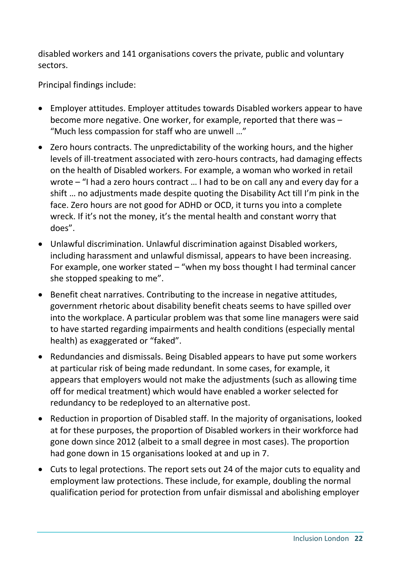disabled workers and 141 organisations covers the private, public and voluntary sectors.

Principal findings include:

- Employer attitudes. Employer attitudes towards Disabled workers appear to have become more negative. One worker, for example, reported that there was – "Much less compassion for staff who are unwell …"
- Zero hours contracts. The unpredictability of the working hours, and the higher levels of ill-treatment associated with zero-hours contracts, had damaging effects on the health of Disabled workers. For example, a woman who worked in retail wrote – "I had a zero hours contract … I had to be on call any and every day for a shift … no adjustments made despite quoting the Disability Act till I'm pink in the face. Zero hours are not good for ADHD or OCD, it turns you into a complete wreck. If it's not the money, it's the mental health and constant worry that does".
- Unlawful discrimination. Unlawful discrimination against Disabled workers, including harassment and unlawful dismissal, appears to have been increasing. For example, one worker stated – "when my boss thought I had terminal cancer she stopped speaking to me".
- Benefit cheat narratives. Contributing to the increase in negative attitudes, government rhetoric about disability benefit cheats seems to have spilled over into the workplace. A particular problem was that some line managers were said to have started regarding impairments and health conditions (especially mental health) as exaggerated or "faked".
- Redundancies and dismissals. Being Disabled appears to have put some workers at particular risk of being made redundant. In some cases, for example, it appears that employers would not make the adjustments (such as allowing time off for medical treatment) which would have enabled a worker selected for redundancy to be redeployed to an alternative post.
- Reduction in proportion of Disabled staff. In the majority of organisations, looked at for these purposes, the proportion of Disabled workers in their workforce had gone down since 2012 (albeit to a small degree in most cases). The proportion had gone down in 15 organisations looked at and up in 7.
- Cuts to legal protections. The report sets out 24 of the major cuts to equality and employment law protections. These include, for example, doubling the normal qualification period for protection from unfair dismissal and abolishing employer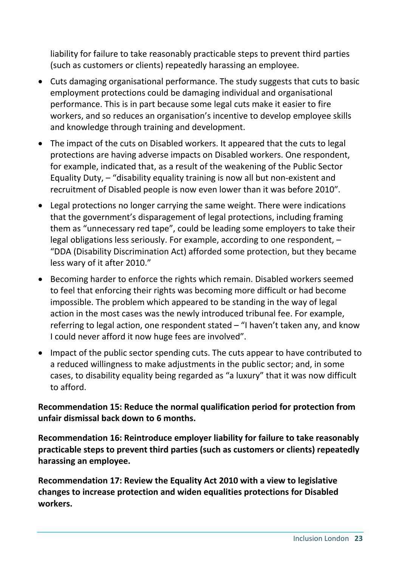liability for failure to take reasonably practicable steps to prevent third parties (such as customers or clients) repeatedly harassing an employee.

- Cuts damaging organisational performance. The study suggests that cuts to basic employment protections could be damaging individual and organisational performance. This is in part because some legal cuts make it easier to fire workers, and so reduces an organisation's incentive to develop employee skills and knowledge through training and development.
- The impact of the cuts on Disabled workers. It appeared that the cuts to legal protections are having adverse impacts on Disabled workers. One respondent, for example, indicated that, as a result of the weakening of the Public Sector Equality Duty, – "disability equality training is now all but non-existent and recruitment of Disabled people is now even lower than it was before 2010″.
- Legal protections no longer carrying the same weight. There were indications that the government's disparagement of legal protections, including framing them as "unnecessary red tape", could be leading some employers to take their legal obligations less seriously. For example, according to one respondent, – "DDA (Disability Discrimination Act) afforded some protection, but they became less wary of it after 2010."
- Becoming harder to enforce the rights which remain. Disabled workers seemed to feel that enforcing their rights was becoming more difficult or had become impossible. The problem which appeared to be standing in the way of legal action in the most cases was the newly introduced tribunal fee. For example, referring to legal action, one respondent stated – "I haven't taken any, and know I could never afford it now huge fees are involved".
- Impact of the public sector spending cuts. The cuts appear to have contributed to a reduced willingness to make adjustments in the public sector; and, in some cases, to disability equality being regarded as "a luxury" that it was now difficult to afford.

**Recommendation 15: Reduce the normal qualification period for protection from unfair dismissal back down to 6 months.**

**Recommendation 16: Reintroduce employer liability for failure to take reasonably practicable steps to prevent third parties (such as customers or clients) repeatedly harassing an employee.**

**Recommendation 17: Review the Equality Act 2010 with a view to legislative changes to increase protection and widen equalities protections for Disabled workers.**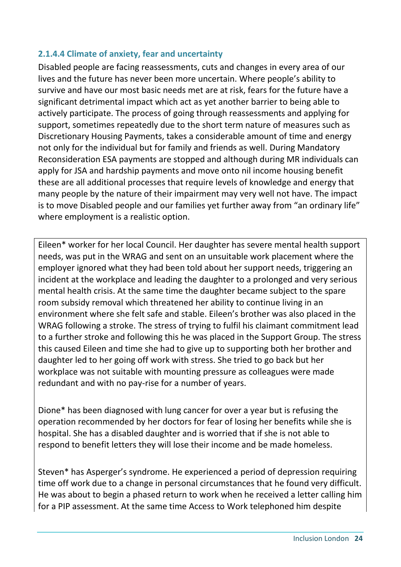#### **2.1.4.4 Climate of anxiety, fear and uncertainty**

Disabled people are facing reassessments, cuts and changes in every area of our lives and the future has never been more uncertain. Where people's ability to survive and have our most basic needs met are at risk, fears for the future have a significant detrimental impact which act as yet another barrier to being able to actively participate. The process of going through reassessments and applying for support, sometimes repeatedly due to the short term nature of measures such as Discretionary Housing Payments, takes a considerable amount of time and energy not only for the individual but for family and friends as well. During Mandatory Reconsideration ESA payments are stopped and although during MR individuals can apply for JSA and hardship payments and move onto nil income housing benefit these are all additional processes that require levels of knowledge and energy that many people by the nature of their impairment may very well not have. The impact is to move Disabled people and our families yet further away from "an ordinary life" where employment is a realistic option.

Eileen\* worker for her local Council. Her daughter has severe mental health support needs, was put in the WRAG and sent on an unsuitable work placement where the employer ignored what they had been told about her support needs, triggering an incident at the workplace and leading the daughter to a prolonged and very serious mental health crisis. At the same time the daughter became subject to the spare room subsidy removal which threatened her ability to continue living in an environment where she felt safe and stable. Eileen's brother was also placed in the WRAG following a stroke. The stress of trying to fulfil his claimant commitment lead to a further stroke and following this he was placed in the Support Group. The stress this caused Eileen and time she had to give up to supporting both her brother and daughter led to her going off work with stress. She tried to go back but her workplace was not suitable with mounting pressure as colleagues were made redundant and with no pay-rise for a number of years.

Dione\* has been diagnosed with lung cancer for over a year but is refusing the operation recommended by her doctors for fear of losing her benefits while she is hospital. She has a disabled daughter and is worried that if she is not able to respond to benefit letters they will lose their income and be made homeless.

Steven\* has Asperger's syndrome. He experienced a period of depression requiring time off work due to a change in personal circumstances that he found very difficult. He was about to begin a phased return to work when he received a letter calling him for a PIP assessment. At the same time Access to Work telephoned him despite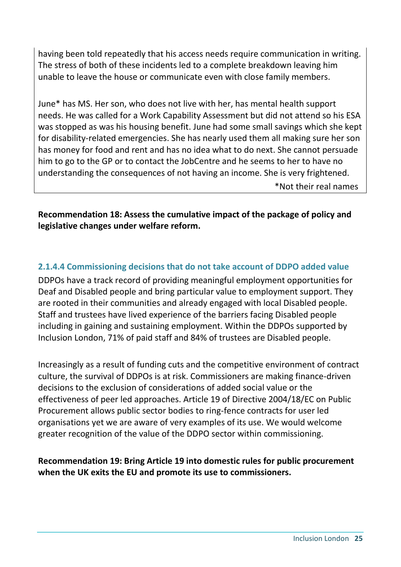having been told repeatedly that his access needs require communication in writing. The stress of both of these incidents led to a complete breakdown leaving him unable to leave the house or communicate even with close family members.

June\* has MS. Her son, who does not live with her, has mental health support needs. He was called for a Work Capability Assessment but did not attend so his ESA was stopped as was his housing benefit. June had some small savings which she kept for disability-related emergencies. She has nearly used them all making sure her son has money for food and rent and has no idea what to do next. She cannot persuade him to go to the GP or to contact the JobCentre and he seems to her to have no understanding the consequences of not having an income. She is very frightened. \*Not their real names

**Recommendation 18: Assess the cumulative impact of the package of policy and legislative changes under welfare reform.** 

## **2.1.4.4 Commissioning decisions that do not take account of DDPO added value**

DDPOs have a track record of providing meaningful employment opportunities for Deaf and Disabled people and bring particular value to employment support. They are rooted in their communities and already engaged with local Disabled people. Staff and trustees have lived experience of the barriers facing Disabled people including in gaining and sustaining employment. Within the DDPOs supported by Inclusion London, 71% of paid staff and 84% of trustees are Disabled people.

Increasingly as a result of funding cuts and the competitive environment of contract culture, the survival of DDPOs is at risk. Commissioners are making finance-driven decisions to the exclusion of considerations of added social value or the effectiveness of peer led approaches. Article 19 of Directive 2004/18/EC on Public Procurement allows public sector bodies to ring-fence contracts for user led organisations yet we are aware of very examples of its use. We would welcome greater recognition of the value of the DDPO sector within commissioning.

#### **Recommendation 19: Bring Article 19 into domestic rules for public procurement when the UK exits the EU and promote its use to commissioners.**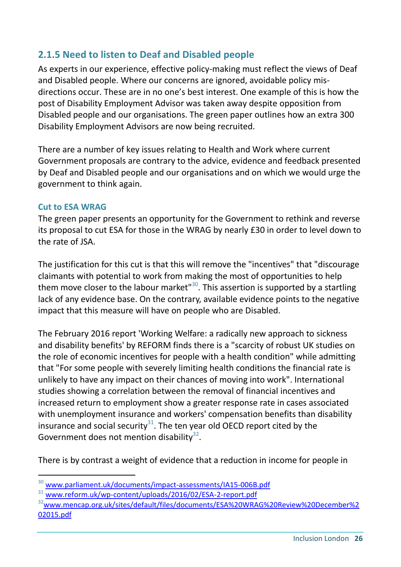## **2.1.5 Need to listen to Deaf and Disabled people**

As experts in our experience, effective policy-making must reflect the views of Deaf and Disabled people. Where our concerns are ignored, avoidable policy misdirections occur. These are in no one's best interest. One example of this is how the post of Disability Employment Advisor was taken away despite opposition from Disabled people and our organisations. The green paper outlines how an extra 300 Disability Employment Advisors are now being recruited.

There are a number of key issues relating to Health and Work where current Government proposals are contrary to the advice, evidence and feedback presented by Deaf and Disabled people and our organisations and on which we would urge the government to think again.

#### **Cut to ESA WRAG**

-

The green paper presents an opportunity for the Government to rethink and reverse its proposal to cut ESA for those in the WRAG by nearly £30 in order to level down to the rate of JSA.

The justification for this cut is that this will remove the "incentives" that "discourage claimants with potential to work from making the most of opportunities to help them move closer to the labour market"<sup>30</sup>. This assertion is supported by a startling lack of any evidence base. On the contrary, available evidence points to the negative impact that this measure will have on people who are Disabled.

The February 2016 report 'Working Welfare: a radically new approach to sickness and disability benefits' by REFORM finds there is a "scarcity of robust UK studies on the role of economic incentives for people with a health condition" while admitting that "For some people with severely limiting health conditions the financial rate is unlikely to have any impact on their chances of moving into work". International studies showing a correlation between the removal of financial incentives and increased return to employment show a greater response rate in cases associated with unemployment insurance and workers' compensation benefits than disability insurance and social security $31$ . The ten year old OECD report cited by the Government does not mention disability $32$ .

There is by contrast a weight of evidence that a reduction in income for people in

<sup>30</sup> <www.parliament.uk/documents/impact-assessments/IA15-006B.pdf>

 $31$  <www.reform.uk/wp-content/uploads/2016/02/ESA-2-report.pdf>

<sup>32</sup>[www.mencap.org.uk/sites/default/files/documents/ESA%20WRAG%20Review%20December%2](www.mencap.org.uk/sites/default/files/documents/ESA%20WRAG%20Review%20December%202015.pdf) [02015.pdf](www.mencap.org.uk/sites/default/files/documents/ESA%20WRAG%20Review%20December%202015.pdf)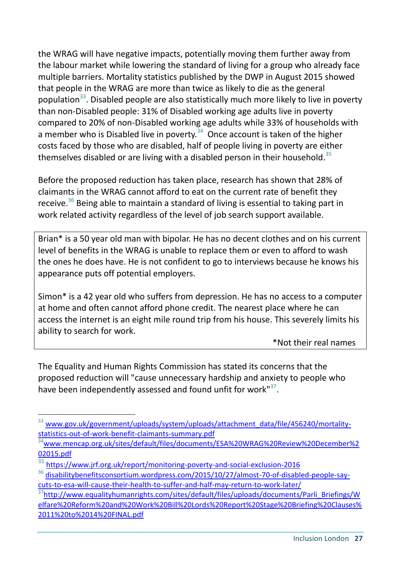the WRAG will have negative impacts, potentially moving them further away from the labour market while lowering the standard of living for a group who already face multiple barriers. Mortality statistics published by the DWP in August 2015 showed that people in the WRAG are more than twice as likely to die as the general population<sup>33</sup>. Disabled people are also statistically much more likely to live in poverty than non-Disabled people: 31% of Disabled working age adults live in poverty compared to 20% of non-Disabled working age adults while 33% of households with a member who is Disabled live in poverty. $34$  Once account is taken of the higher costs faced by those who are disabled, half of people living in poverty are either themselves disabled or are living with a disabled person in their household.<sup>35</sup>

Before the proposed reduction has taken place, research has shown that 28% of claimants in the WRAG cannot afford to eat on the current rate of benefit they receive.<sup>36</sup> Being able to maintain a standard of living is essential to taking part in work related activity regardless of the level of job search support available.

Brian\* is a 50 year old man with bipolar. He has no decent clothes and on his current level of benefits in the WRAG is unable to replace them or even to afford to wash the ones he does have. He is not confident to go to interviews because he knows his appearance puts off potential employers.

Simon\* is a 42 year old who suffers from depression. He has no access to a computer at home and often cannot afford phone credit. The nearest place where he can access the internet is an eight mile round trip from his house. This severely limits his ability to search for work.

\*Not their real names

The Equality and Human Rights Commission has stated its concerns that the proposed reduction will "cause unnecessary hardship and anxiety to people who have been independently assessed and found unfit for work"<sup>37</sup>.

<sup>33</sup> [www.gov.uk/government/uploads/system/uploads/attachment\\_data/file/456240/mortality](www.gov.uk/government/uploads/system/uploads/attachment_data/file/456240/mortality-statistics-out-of-work-benefit-claimants-summary.pdf)[statistics-out-of-work-benefit-claimants-summary.pdf](www.gov.uk/government/uploads/system/uploads/attachment_data/file/456240/mortality-statistics-out-of-work-benefit-claimants-summary.pdf)

 $^{34}$ [www.mencap.org.uk/sites/default/files/documents/ESA%20WRAG%20Review%20December%2](www.mencap.org.uk/sites/default/files/documents/ESA%20WRAG%20Review%20December%202015.pdf) [02015.pdf](www.mencap.org.uk/sites/default/files/documents/ESA%20WRAG%20Review%20December%202015.pdf)

<sup>35</sup> <https://www.jrf.org.uk/report/monitoring-poverty-and-social-exclusion-2016>

<sup>&</sup>lt;sup>36</sup> [disabilitybenefitsconsortium.wordpress.com/2015/10/27/almost-70-of-disabled-people-say](https://disabilitybenefitsconsortium.wordpress.com/2015/10/27/almost-70-of-disabled-people-say-cuts-to-esa-will-cause-their-health-to-suffer-and-half-may-return-to-work-later/)[cuts-to-esa-will-cause-their-health-to-suffer-and-half-may-return-to-work-later/](https://disabilitybenefitsconsortium.wordpress.com/2015/10/27/almost-70-of-disabled-people-say-cuts-to-esa-will-cause-their-health-to-suffer-and-half-may-return-to-work-later/)

<sup>&</sup>lt;sup>37</sup>[http://www.equalityhumanrights.com/sites/default/files/uploads/documents/Parli\\_Briefings/W](http://www.equalityhumanrights.com/sites/default/files/uploads/documents/Parli_Briefings/Welfare%20Reform%20and%20Work%20Bill%20Lords%20Report%20Stage%20Briefing%20Clauses%2011%20to%2014%20FINAL.pdf) [elfare%20Reform%20and%20Work%20Bill%20Lords%20Report%20Stage%20Briefing%20Clauses%](http://www.equalityhumanrights.com/sites/default/files/uploads/documents/Parli_Briefings/Welfare%20Reform%20and%20Work%20Bill%20Lords%20Report%20Stage%20Briefing%20Clauses%2011%20to%2014%20FINAL.pdf) [2011%20to%2014%20FINAL.pdf](http://www.equalityhumanrights.com/sites/default/files/uploads/documents/Parli_Briefings/Welfare%20Reform%20and%20Work%20Bill%20Lords%20Report%20Stage%20Briefing%20Clauses%2011%20to%2014%20FINAL.pdf)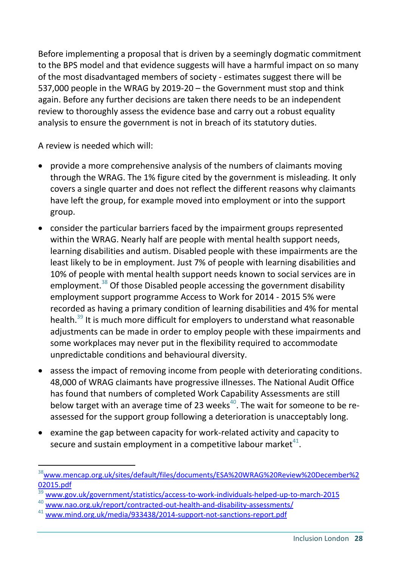Before implementing a proposal that is driven by a seemingly dogmatic commitment to the BPS model and that evidence suggests will have a harmful impact on so many of the most disadvantaged members of society - estimates suggest there will be 537,000 people in the WRAG by 2019-20 – the Government must stop and think again. Before any further decisions are taken there needs to be an independent review to thoroughly assess the evidence base and carry out a robust equality analysis to ensure the government is not in breach of its statutory duties.

A review is needed which will:

- provide a more comprehensive analysis of the numbers of claimants moving through the WRAG. The 1% figure cited by the government is misleading. It only covers a single quarter and does not reflect the different reasons why claimants have left the group, for example moved into employment or into the support group.
- consider the particular barriers faced by the impairment groups represented within the WRAG. Nearly half are people with mental health support needs, learning disabilities and autism. Disabled people with these impairments are the least likely to be in employment. Just 7% of people with learning disabilities and 10% of people with mental health support needs known to social services are in employment.<sup>38</sup> Of those Disabled people accessing the government disability employment support programme Access to Work for 2014 - 2015 5% were recorded as having a primary condition of learning disabilities and 4% for mental health.<sup>39</sup> It is much more difficult for employers to understand what reasonable adjustments can be made in order to employ people with these impairments and some workplaces may never put in the flexibility required to accommodate unpredictable conditions and behavioural diversity.
- assess the impact of removing income from people with deteriorating conditions. 48,000 of WRAG claimants have progressive illnesses. The National Audit Office has found that numbers of completed Work Capability Assessments are still below target with an average time of 23 weeks<sup>40</sup>. The wait for someone to be reassessed for the support group following a deterioration is unacceptably long.
- examine the gap between capacity for work-related activity and capacity to secure and sustain employment in a competitive labour market $^{41}$ .

<sup>&</sup>lt;sup>38</sup>[www.mencap.org.uk/sites/default/files/documents/ESA%20WRAG%20Review%20December%2](www.mencap.org.uk/sites/default/files/documents/ESA%20WRAG%20Review%20December%202015.pdf) [02015.pdf](www.mencap.org.uk/sites/default/files/documents/ESA%20WRAG%20Review%20December%202015.pdf)

<sup>39</sup> <www.gov.uk/government/statistics/access-to-work-individuals-helped-up-to-march-2015>

<www.nao.org.uk/report/contracted-out-health-and-disability-assessments/>

<www.mind.org.uk/media/933438/2014-support-not-sanctions-report.pdf>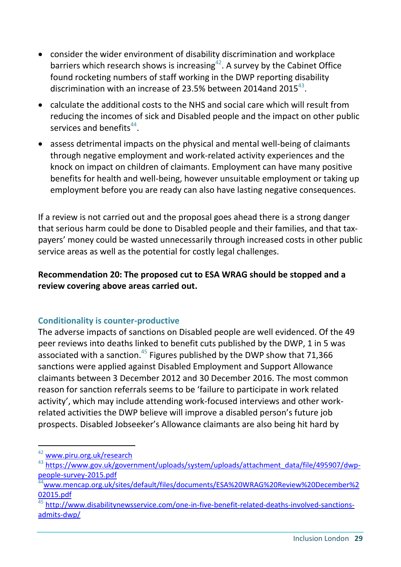- consider the wider environment of disability discrimination and workplace barriers which research shows is increasing<sup>42</sup>. A survey by the Cabinet Office found rocketing numbers of staff working in the DWP reporting disability discrimination with an increase of 23.5% between 2014and 2015 $^{43}$ .
- calculate the additional costs to the NHS and social care which will result from reducing the incomes of sick and Disabled people and the impact on other public services and benefits $44$ .
- assess detrimental impacts on the physical and mental well-being of claimants through negative employment and work-related activity experiences and the knock on impact on children of claimants. Employment can have many positive benefits for health and well-being, however unsuitable employment or taking up employment before you are ready can also have lasting negative consequences.

If a review is not carried out and the proposal goes ahead there is a strong danger that serious harm could be done to Disabled people and their families, and that taxpayers' money could be wasted unnecessarily through increased costs in other public service areas as well as the potential for costly legal challenges.

**Recommendation 20: The proposed cut to ESA WRAG should be stopped and a review covering above areas carried out.**

#### **Conditionality is counter-productive**

The adverse impacts of sanctions on Disabled people are well evidenced. Of the 49 peer reviews into deaths linked to benefit cuts published by the DWP, 1 in 5 was associated with a sanction.<sup>45</sup> Figures published by the DWP show that 71,366 sanctions were applied against Disabled Employment and Support Allowance claimants between 3 December 2012 and 30 December 2016. The most common reason for sanction referrals seems to be 'failure to participate in work related activity', which may include attending work-focused interviews and other workrelated activities the DWP believe will improve a disabled person's future job prospects. Disabled Jobseeker's Allowance claimants are also being hit hard by

<sup>42</sup> <www.piru.org.uk/research>

<sup>43</sup> [https://www.gov.uk/government/uploads/system/uploads/attachment\\_data/file/495907/dwp](https://www.gov.uk/government/uploads/system/uploads/attachment_data/file/495907/dwp-people-survey-2015.pdf)[people-survey-2015.pdf](https://www.gov.uk/government/uploads/system/uploads/attachment_data/file/495907/dwp-people-survey-2015.pdf)

<sup>44</sup>[www.mencap.org.uk/sites/default/files/documents/ESA%20WRAG%20Review%20December%2](www.mencap.org.uk/sites/default/files/documents/ESA%20WRAG%20Review%20December%202015.pdf) [02015.pdf](www.mencap.org.uk/sites/default/files/documents/ESA%20WRAG%20Review%20December%202015.pdf)

[http://www.disabilitynewsservice.com/one-in-five-benefit-related-deaths-involved-sanctions](http://www.disabilitynewsservice.com/one-in-five-benefit-related-deaths-involved-sanctions-admits-dwp/)[admits-dwp/](http://www.disabilitynewsservice.com/one-in-five-benefit-related-deaths-involved-sanctions-admits-dwp/)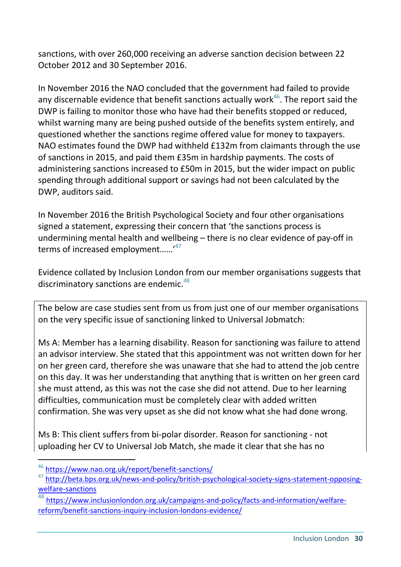sanctions, with over 260,000 receiving an adverse sanction decision between 22 October 2012 and 30 September 2016.

In November 2016 the NAO concluded that the government had failed to provide any discernable evidence that benefit sanctions actually work $46$ . The report said the DWP is failing to monitor those who have had their benefits stopped or reduced, whilst warning many are being pushed outside of the benefits system entirely, and questioned whether the sanctions regime offered value for money to taxpayers. NAO estimates found the DWP had withheld £132m from claimants through the use of sanctions in 2015, and paid them £35m in hardship payments. The costs of administering sanctions increased to £50m in 2015, but the wider impact on public spending through additional support or savings had not been calculated by the DWP, auditors said.

In November 2016 the British Psychological Society and four other organisations signed a statement, expressing their concern that 'the sanctions process is undermining mental health and wellbeing – there is no clear evidence of pay-off in terms of increased employment......<sup>47</sup>

Evidence collated by Inclusion London from our member organisations suggests that discriminatory sanctions are endemic.<sup>48</sup>

The below are case studies sent from us from just one of our member organisations on the very specific issue of sanctioning linked to Universal Jobmatch:

Ms A: Member has a learning disability. Reason for sanctioning was failure to attend an advisor interview. She stated that this appointment was not written down for her on her green card, therefore she was unaware that she had to attend the job centre on this day. It was her understanding that anything that is written on her green card she must attend, as this was not the case she did not attend. Due to her learning difficulties, communication must be completely clear with added written confirmation. She was very upset as she did not know what she had done wrong.

Ms B: This client suffers from bi-polar disorder. Reason for sanctioning - not uploading her CV to Universal Job Match, she made it clear that she has no

<sup>46</sup> <https://www.nao.org.uk/report/benefit-sanctions/>

<sup>&</sup>lt;sup>47</sup> [http://beta.bps.org.uk/news-and-policy/british-psychological-society-signs-statement-opposing](http://beta.bps.org.uk/news-and-policy/british-psychological-society-signs-statement-opposing-welfare-sanctions)[welfare-sanctions](http://beta.bps.org.uk/news-and-policy/british-psychological-society-signs-statement-opposing-welfare-sanctions)

<sup>48</sup> [https://www.inclusionlondon.org.uk/campaigns-and-policy/facts-and-information/welfare](https://www.inclusionlondon.org.uk/campaigns-and-policy/facts-and-information/welfare-reform/benefit-sanctions-inquiry-inclusion-londons-evidence/)[reform/benefit-sanctions-inquiry-inclusion-londons-evidence/](https://www.inclusionlondon.org.uk/campaigns-and-policy/facts-and-information/welfare-reform/benefit-sanctions-inquiry-inclusion-londons-evidence/)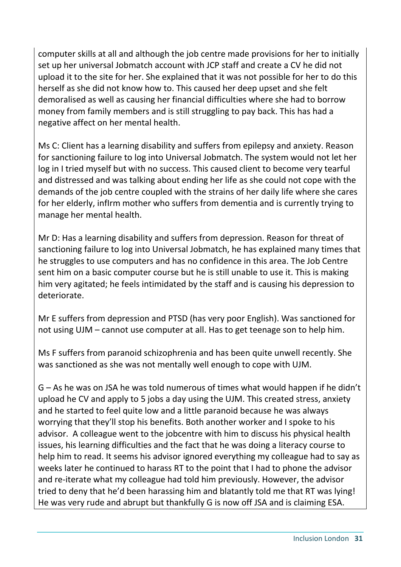computer skills at all and although the job centre made provisions for her to initially set up her universal Jobmatch account with JCP staff and create a CV he did not upload it to the site for her. She explained that it was not possible for her to do this herself as she did not know how to. This caused her deep upset and she felt demoralised as well as causing her financial difficulties where she had to borrow money from family members and is still struggling to pay back. This has had a negative affect on her mental health.

Ms C: Client has a learning disability and suffers from epilepsy and anxiety. Reason for sanctioning failure to log into Universal Jobmatch. The system would not let her log in I tried myself but with no success. This caused client to become very tearful and distressed and was talking about ending her life as she could not cope with the demands of the job centre coupled with the strains of her daily life where she cares for her elderly, infIrm mother who suffers from dementia and is currently trying to manage her mental health.

Mr D: Has a learning disability and suffers from depression. Reason for threat of sanctioning failure to log into Universal Jobmatch, he has explained many times that he struggles to use computers and has no confidence in this area. The Job Centre sent him on a basic computer course but he is still unable to use it. This is making him very agitated; he feels intimidated by the staff and is causing his depression to deteriorate.

Mr E suffers from depression and PTSD (has very poor English). Was sanctioned for not using UJM – cannot use computer at all. Has to get teenage son to help him.

Ms F suffers from paranoid schizophrenia and has been quite unwell recently. She was sanctioned as she was not mentally well enough to cope with UJM.

G – As he was on JSA he was told numerous of times what would happen if he didn't upload he CV and apply to 5 jobs a day using the UJM. This created stress, anxiety and he started to feel quite low and a little paranoid because he was always worrying that they'll stop his benefits. Both another worker and I spoke to his advisor. A colleague went to the jobcentre with him to discuss his physical health issues, his learning difficulties and the fact that he was doing a literacy course to help him to read. It seems his advisor ignored everything my colleague had to say as weeks later he continued to harass RT to the point that I had to phone the advisor and re-iterate what my colleague had told him previously. However, the advisor tried to deny that he'd been harassing him and blatantly told me that RT was lying! He was very rude and abrupt but thankfully G is now off JSA and is claiming ESA.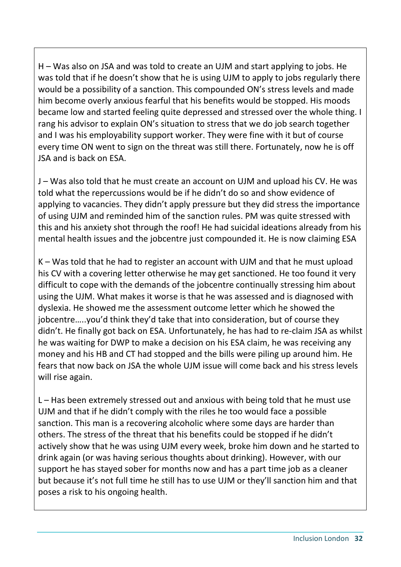H – Was also on JSA and was told to create an UJM and start applying to jobs. He was told that if he doesn't show that he is using UJM to apply to jobs regularly there would be a possibility of a sanction. This compounded ON's stress levels and made him become overly anxious fearful that his benefits would be stopped. His moods became low and started feeling quite depressed and stressed over the whole thing. I rang his advisor to explain ON's situation to stress that we do job search together and I was his employability support worker. They were fine with it but of course every time ON went to sign on the threat was still there. Fortunately, now he is off JSA and is back on ESA.

J – Was also told that he must create an account on UJM and upload his CV. He was told what the repercussions would be if he didn't do so and show evidence of applying to vacancies. They didn't apply pressure but they did stress the importance of using UJM and reminded him of the sanction rules. PM was quite stressed with this and his anxiety shot through the roof! He had suicidal ideations already from his mental health issues and the jobcentre just compounded it. He is now claiming ESA

K – Was told that he had to register an account with UJM and that he must upload his CV with a covering letter otherwise he may get sanctioned. He too found it very difficult to cope with the demands of the jobcentre continually stressing him about using the UJM. What makes it worse is that he was assessed and is diagnosed with dyslexia. He showed me the assessment outcome letter which he showed the jobcentre…..you'd think they'd take that into consideration, but of course they didn't. He finally got back on ESA. Unfortunately, he has had to re-claim JSA as whilst he was waiting for DWP to make a decision on his ESA claim, he was receiving any money and his HB and CT had stopped and the bills were piling up around him. He fears that now back on JSA the whole UJM issue will come back and his stress levels will rise again.

L – Has been extremely stressed out and anxious with being told that he must use UJM and that if he didn't comply with the riles he too would face a possible sanction. This man is a recovering alcoholic where some days are harder than others. The stress of the threat that his benefits could be stopped if he didn't actively show that he was using UJM every week, broke him down and he started to drink again (or was having serious thoughts about drinking). However, with our support he has stayed sober for months now and has a part time job as a cleaner but because it's not full time he still has to use UJM or they'll sanction him and that poses a risk to his ongoing health.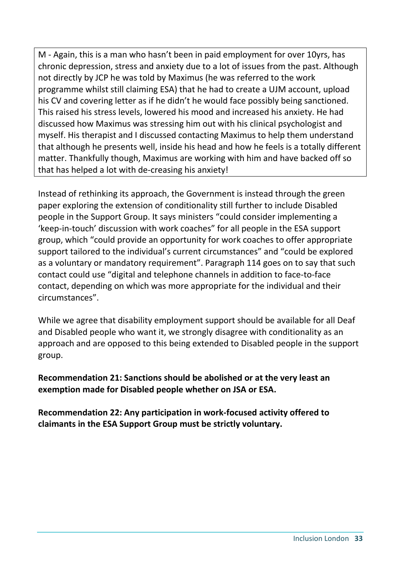M - Again, this is a man who hasn't been in paid employment for over 10yrs, has chronic depression, stress and anxiety due to a lot of issues from the past. Although not directly by JCP he was told by Maximus (he was referred to the work programme whilst still claiming ESA) that he had to create a UJM account, upload his CV and covering letter as if he didn't he would face possibly being sanctioned. This raised his stress levels, lowered his mood and increased his anxiety. He had discussed how Maximus was stressing him out with his clinical psychologist and myself. His therapist and I discussed contacting Maximus to help them understand that although he presents well, inside his head and how he feels is a totally different matter. Thankfully though, Maximus are working with him and have backed off so that has helped a lot with de-creasing his anxiety!

Instead of rethinking its approach, the Government is instead through the green paper exploring the extension of conditionality still further to include Disabled people in the Support Group. It says ministers "could consider implementing a 'keep-in-touch' discussion with work coaches" for all people in the ESA support group, which "could provide an opportunity for work coaches to offer appropriate support tailored to the individual's current circumstances" and "could be explored as a voluntary or mandatory requirement". Paragraph 114 goes on to say that such contact could use "digital and telephone channels in addition to face-to-face contact, depending on which was more appropriate for the individual and their circumstances".

While we agree that disability employment support should be available for all Deaf and Disabled people who want it, we strongly disagree with conditionality as an approach and are opposed to this being extended to Disabled people in the support group.

**Recommendation 21: Sanctions should be abolished or at the very least an exemption made for Disabled people whether on JSA or ESA.**

**Recommendation 22: Any participation in work-focused activity offered to claimants in the ESA Support Group must be strictly voluntary.**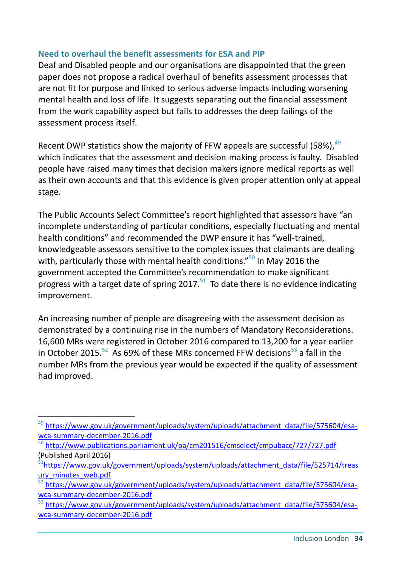#### **Need to overhaul the benefit assessments for ESA and PIP**

Deaf and Disabled people and our organisations are disappointed that the green paper does not propose a radical overhaul of benefits assessment processes that are not fit for purpose and linked to serious adverse impacts including worsening mental health and loss of life. It suggests separating out the financial assessment from the work capability aspect but fails to addresses the deep failings of the assessment process itself.

Recent DWP statistics show the majority of FFW appeals are successful (58%),  $49$ which indicates that the assessment and decision-making process is faulty. Disabled people have raised many times that decision makers ignore medical reports as well as their own accounts and that this evidence is given proper attention only at appeal stage.

The Public Accounts Select Committee's report highlighted that assessors have "an incomplete understanding of particular conditions, especially fluctuating and mental health conditions" and recommended the DWP ensure it has "well-trained, knowledgeable assessors sensitive to the complex issues that claimants are dealing with, particularly those with mental health conditions."<sup>50</sup> In May 2016 the government accepted the Committee's recommendation to make significant progress with a target date of spring 2017.<sup>51</sup> To date there is no evidence indicating improvement.

An increasing number of people are disagreeing with the assessment decision as demonstrated by a continuing rise in the numbers of Mandatory Reconsiderations. 16,600 MRs were registered in October 2016 compared to 13,200 for a year earlier in October 2015.<sup>52</sup> As 69% of these MRs concerned FFW decisions<sup>53</sup> a fall in the number MRs from the previous year would be expected if the quality of assessment had improved.

<sup>&</sup>lt;sup>49</sup> [https://www.gov.uk/government/uploads/system/uploads/attachment\\_data/file/575604/esa](https://www.gov.uk/government/uploads/system/uploads/attachment_data/file/575604/esa-wca-summary-december-2016.pdf)[wca-summary-december-2016.pdf](https://www.gov.uk/government/uploads/system/uploads/attachment_data/file/575604/esa-wca-summary-december-2016.pdf) 

 $50$  http://www.publications.parliament.uk/pa/cm201516/cmselect/cmpubacc/727/727.pdf (Published April 2016)

<sup>&</sup>lt;sup>51</sup>[https://www.gov.uk/government/uploads/system/uploads/attachment\\_data/file/525714/treas](https://www.gov.uk/government/uploads/system/uploads/attachment_data/file/525714/treasury_minutes_web.pdf) [ury\\_minutes\\_web.pdf](https://www.gov.uk/government/uploads/system/uploads/attachment_data/file/525714/treasury_minutes_web.pdf)

<sup>52</sup> [https://www.gov.uk/government/uploads/system/uploads/attachment\\_data/file/575604/esa](https://www.gov.uk/government/uploads/system/uploads/attachment_data/file/575604/esa-wca-summary-december-2016.pdf)[wca-summary-december-2016.pdf](https://www.gov.uk/government/uploads/system/uploads/attachment_data/file/575604/esa-wca-summary-december-2016.pdf)

[https://www.gov.uk/government/uploads/system/uploads/attachment\\_data/file/575604/esa](https://www.gov.uk/government/uploads/system/uploads/attachment_data/file/575604/esa-wca-summary-december-2016.pdf)[wca-summary-december-2016.pdf](https://www.gov.uk/government/uploads/system/uploads/attachment_data/file/575604/esa-wca-summary-december-2016.pdf)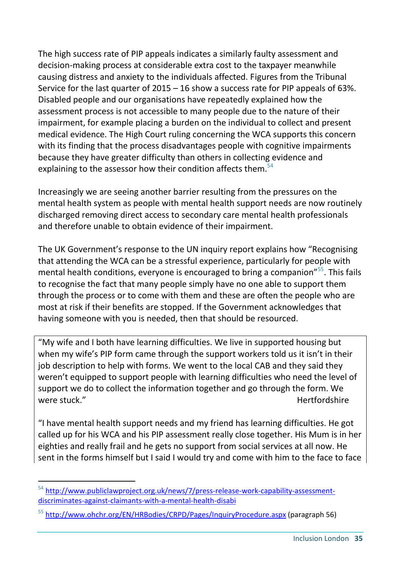The high success rate of PIP appeals indicates a similarly faulty assessment and decision-making process at considerable extra cost to the taxpayer meanwhile causing distress and anxiety to the individuals affected. Figures from the Tribunal Service for the last quarter of 2015 – 16 show a success rate for PIP appeals of 63%. Disabled people and our organisations have repeatedly explained how the assessment process is not accessible to many people due to the nature of their impairment, for example placing a burden on the individual to collect and present medical evidence. The High Court ruling concerning the WCA supports this concern with its finding that the process disadvantages people with cognitive impairments because they have greater difficulty than others in collecting evidence and explaining to the assessor how their condition affects them.<sup>54</sup>

Increasingly we are seeing another barrier resulting from the pressures on the mental health system as people with mental health support needs are now routinely discharged removing direct access to secondary care mental health professionals and therefore unable to obtain evidence of their impairment.

The UK Government's response to the UN inquiry report explains how "Recognising that attending the WCA can be a stressful experience, particularly for people with mental health conditions, everyone is encouraged to bring a companion"<sup>55</sup>. This fails to recognise the fact that many people simply have no one able to support them through the process or to come with them and these are often the people who are most at risk if their benefits are stopped. If the Government acknowledges that having someone with you is needed, then that should be resourced.

"My wife and I both have learning difficulties. We live in supported housing but when my wife's PIP form came through the support workers told us it isn't in their job description to help with forms. We went to the local CAB and they said they weren't equipped to support people with learning difficulties who need the level of support we do to collect the information together and go through the form. We were stuck." Supervisory of the stuck of the stuck of the stuck of the stuck of the stuck of the study of the study of the study of the study of the study of the study of the study of the study of the study of the study of

"I have mental health support needs and my friend has learning difficulties. He got called up for his WCA and his PIP assessment really close together. His Mum is in her eighties and really frail and he gets no support from social services at all now. He sent in the forms himself but I said I would try and come with him to the face to face

<sup>54</sup> [http://www.publiclawproject.org.uk/news/7/press-release-work-capability-assessment](http://www.publiclawproject.org.uk/news/7/press-release-work-capability-assessment-discriminates-against-claimants-with-a-mental-health-disabi)[discriminates-against-claimants-with-a-mental-health-disabi](http://www.publiclawproject.org.uk/news/7/press-release-work-capability-assessment-discriminates-against-claimants-with-a-mental-health-disabi)

<sup>55</sup> <http://www.ohchr.org/EN/HRBodies/CRPD/Pages/InquiryProcedure.aspx> (paragraph 56)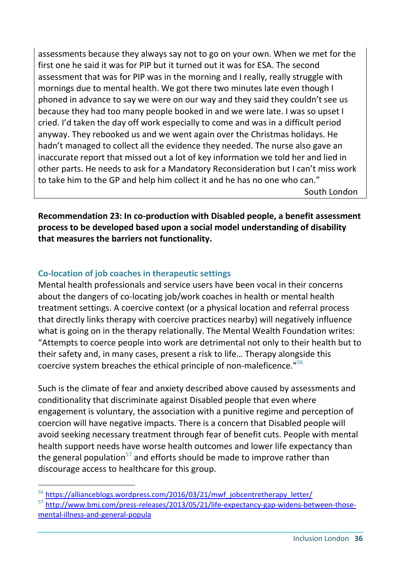assessments because they always say not to go on your own. When we met for the first one he said it was for PIP but it turned out it was for ESA. The second assessment that was for PIP was in the morning and I really, really struggle with mornings due to mental health. We got there two minutes late even though I phoned in advance to say we were on our way and they said they couldn't see us because they had too many people booked in and we were late. I was so upset I cried. I'd taken the day off work especially to come and was in a difficult period anyway. They rebooked us and we went again over the Christmas holidays. He hadn't managed to collect all the evidence they needed. The nurse also gave an inaccurate report that missed out a lot of key information we told her and lied in other parts. He needs to ask for a Mandatory Reconsideration but I can't miss work to take him to the GP and help him collect it and he has no one who can."

South London

**Recommendation 23: In co-production with Disabled people, a benefit assessment process to be developed based upon a social model understanding of disability that measures the barriers not functionality.**

## **Co-location of job coaches in therapeutic settings**

-

Mental health professionals and service users have been vocal in their concerns about the dangers of co-locating job/work coaches in health or mental health treatment settings. A coercive context (or a physical location and referral process that directly links therapy with coercive practices nearby) will negatively influence what is going on in the therapy relationally. The Mental Wealth Foundation writes: "Attempts to coerce people into work are detrimental not only to their health but to their safety and, in many cases, present a risk to life… Therapy alongside this coercive system breaches the ethical principle of non-maleficence."<sup>56</sup>

Such is the climate of fear and anxiety described above caused by assessments and conditionality that discriminate against Disabled people that even where engagement is voluntary, the association with a punitive regime and perception of coercion will have negative impacts. There is a concern that Disabled people will avoid seeking necessary treatment through fear of benefit cuts. People with mental health support needs have worse health outcomes and lower life expectancy than the general population<sup>57</sup> and efforts should be made to improve rather than discourage access to healthcare for this group.

<sup>56</sup> [https://allianceblogs.wordpress.com/2016/03/21/mwf\\_jobcentretherapy\\_letter/](https://allianceblogs.wordpress.com/2016/03/21/mwf_jobcentretherapy_letter/)

<sup>57</sup> [http://www.bmj.com/press-releases/2013/05/21/life-expectancy-gap-widens-between-those](http://www.bmj.com/press-releases/2013/05/21/life-expectancy-gap-widens-between-those-mental-illness-and-general-popula)[mental-illness-and-general-popula](http://www.bmj.com/press-releases/2013/05/21/life-expectancy-gap-widens-between-those-mental-illness-and-general-popula)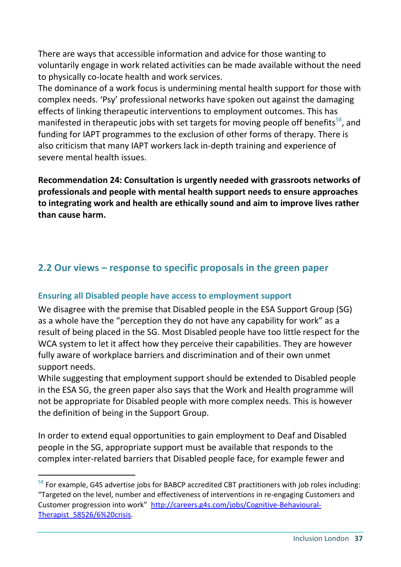There are ways that accessible information and advice for those wanting to voluntarily engage in work related activities can be made available without the need to physically co-locate health and work services.

The dominance of a work focus is undermining mental health support for those with complex needs. 'Psy' professional networks have spoken out against the damaging effects of linking therapeutic interventions to employment outcomes. This has manifested in therapeutic jobs with set targets for moving people off benefits<sup>58</sup>, and funding for IAPT programmes to the exclusion of other forms of therapy. There is also criticism that many IAPT workers lack in-depth training and experience of severe mental health issues.

**Recommendation 24: Consultation is urgently needed with grassroots networks of professionals and people with mental health support needs to ensure approaches to integrating work and health are ethically sound and aim to improve lives rather than cause harm.**

## **2.2 Our views – response to specific proposals in the green paper**

#### **Ensuring all Disabled people have access to employment support**

We disagree with the premise that Disabled people in the ESA Support Group (SG) as a whole have the "perception they do not have any capability for work" as a result of being placed in the SG. Most Disabled people have too little respect for the WCA system to let it affect how they perceive their capabilities. They are however fully aware of workplace barriers and discrimination and of their own unmet support needs.

While suggesting that employment support should be extended to Disabled people in the ESA SG, the green paper also says that the Work and Health programme will not be appropriate for Disabled people with more complex needs. This is however the definition of being in the Support Group.

In order to extend equal opportunities to gain employment to Deaf and Disabled people in the SG, appropriate support must be available that responds to the complex inter-related barriers that Disabled people face, for example fewer and

<sup>&</sup>lt;sup>58</sup> For example, G4S advertise jobs for BABCP accredited CBT practitioners with job roles including: "Targeted on the level, number and effectiveness of interventions in re-engaging Customers and Customer progression into work" [http://careers.g4s.com/jobs/Cognitive-Behavioural-](http://careers.g4s.com/jobs/Cognitive-Behavioural-Therapist_58526/6%20crisis)Therapist 58526/6%20crisis.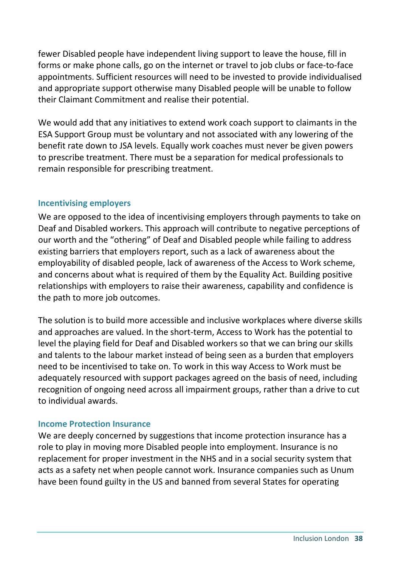fewer Disabled people have independent living support to leave the house, fill in forms or make phone calls, go on the internet or travel to job clubs or face-to-face appointments. Sufficient resources will need to be invested to provide individualised and appropriate support otherwise many Disabled people will be unable to follow their Claimant Commitment and realise their potential.

We would add that any initiatives to extend work coach support to claimants in the ESA Support Group must be voluntary and not associated with any lowering of the benefit rate down to JSA levels. Equally work coaches must never be given powers to prescribe treatment. There must be a separation for medical professionals to remain responsible for prescribing treatment.

#### **Incentivising employers**

We are opposed to the idea of incentivising employers through payments to take on Deaf and Disabled workers. This approach will contribute to negative perceptions of our worth and the "othering" of Deaf and Disabled people while failing to address existing barriers that employers report, such as a lack of awareness about the employability of disabled people, lack of awareness of the Access to Work scheme, and concerns about what is required of them by the Equality Act. Building positive relationships with employers to raise their awareness, capability and confidence is the path to more job outcomes.

The solution is to build more accessible and inclusive workplaces where diverse skills and approaches are valued. In the short-term, Access to Work has the potential to level the playing field for Deaf and Disabled workers so that we can bring our skills and talents to the labour market instead of being seen as a burden that employers need to be incentivised to take on. To work in this way Access to Work must be adequately resourced with support packages agreed on the basis of need, including recognition of ongoing need across all impairment groups, rather than a drive to cut to individual awards.

#### **Income Protection Insurance**

We are deeply concerned by suggestions that income protection insurance has a role to play in moving more Disabled people into employment. Insurance is no replacement for proper investment in the NHS and in a social security system that acts as a safety net when people cannot work. Insurance companies such as Unum have been found guilty in the US and banned from several States for operating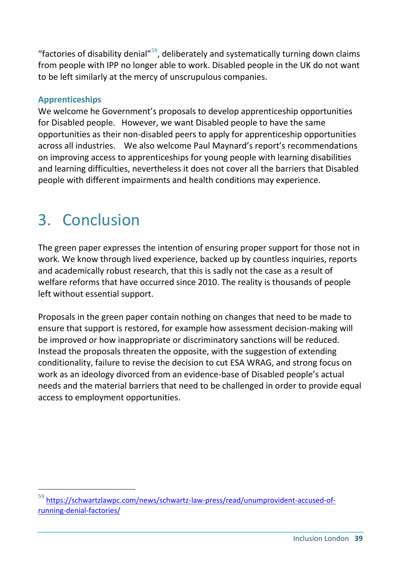"factories of disability denial" $59$ , deliberately and systematically turning down claims from people with IPP no longer able to work. Disabled people in the UK do not want to be left similarly at the mercy of unscrupulous companies.

#### **Apprenticeships**

We welcome he Government's proposals to develop apprenticeship opportunities for Disabled people. However, we want Disabled people to have the same opportunities as their non-disabled peers to apply for apprenticeship opportunities across all industries. We also welcome Paul Maynard's report's recommendations on improving access to apprenticeships for young people with learning disabilities and learning difficulties, nevertheless it does not cover all the barriers that Disabled people with different impairments and health conditions may experience.

## 3. Conclusion

-

The green paper expresses the intention of ensuring proper support for those not in work. We know through lived experience, backed up by countless inquiries, reports and academically robust research, that this is sadly not the case as a result of welfare reforms that have occurred since 2010. The reality is thousands of people left without essential support.

Proposals in the green paper contain nothing on changes that need to be made to ensure that support is restored, for example how assessment decision-making will be improved or how inappropriate or discriminatory sanctions will be reduced. Instead the proposals threaten the opposite, with the suggestion of extending conditionality, failure to revise the decision to cut ESA WRAG, and strong focus on work as an ideology divorced from an evidence-base of Disabled people's actual needs and the material barriers that need to be challenged in order to provide equal access to employment opportunities.

<sup>59</sup> [https://schwartzlawpc.com/news/schwartz-law-press/read/unumprovident-accused-of](https://schwartzlawpc.com/news/schwartz-law-press/read/unumprovident-accused-of-running-denial-factories/)[running-denial-factories/](https://schwartzlawpc.com/news/schwartz-law-press/read/unumprovident-accused-of-running-denial-factories/)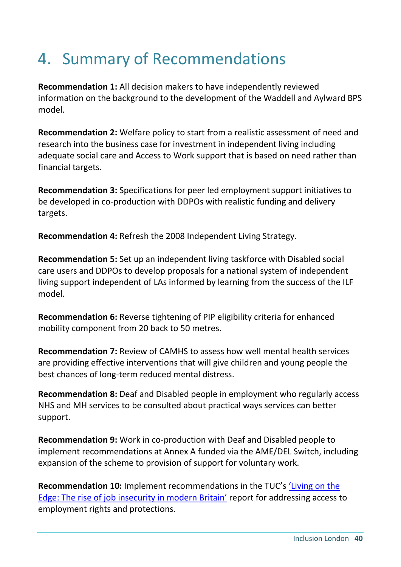## 4. Summary of Recommendations

**Recommendation 1:** All decision makers to have independently reviewed information on the background to the development of the Waddell and Aylward BPS model.

**Recommendation 2:** Welfare policy to start from a realistic assessment of need and research into the business case for investment in independent living including adequate social care and Access to Work support that is based on need rather than financial targets.

**Recommendation 3:** Specifications for peer led employment support initiatives to be developed in co-production with DDPOs with realistic funding and delivery targets.

**Recommendation 4:** Refresh the 2008 Independent Living Strategy.

**Recommendation 5:** Set up an independent living taskforce with Disabled social care users and DDPOs to develop proposals for a national system of independent living support independent of LAs informed by learning from the success of the ILF model.

**Recommendation 6:** Reverse tightening of PIP eligibility criteria for enhanced mobility component from 20 back to 50 metres.

**Recommendation 7:** Review of CAMHS to assess how well mental health services are providing effective interventions that will give children and young people the best chances of long-term reduced mental distress.

**Recommendation 8:** Deaf and Disabled people in employment who regularly access NHS and MH services to be consulted about practical ways services can better support.

**Recommendation 9:** Work in co-production with Deaf and Disabled people to implement recommendations at Annex A funded via the AME/DEL Switch, including expansion of the scheme to provision of support for voluntary work.

**Recommendation 10:** Implement recommendations in the TUC's ['Living on the](https://www.tuc.org.uk/economic-issues/labour-market/living-edge)  [Edge: The rise of job insecurity in modern Britain'](https://www.tuc.org.uk/economic-issues/labour-market/living-edge) report for addressing access to employment rights and protections.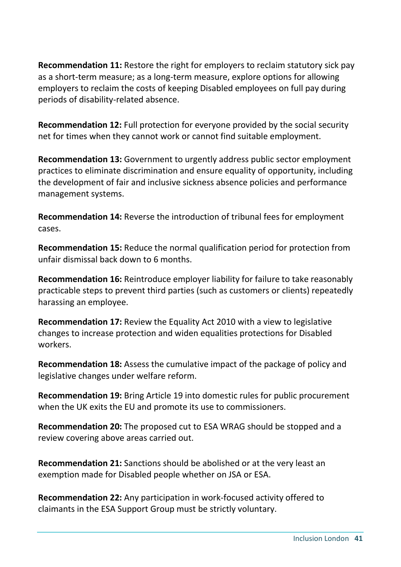**Recommendation 11:** Restore the right for employers to reclaim statutory sick pay as a short-term measure; as a long-term measure, explore options for allowing employers to reclaim the costs of keeping Disabled employees on full pay during periods of disability-related absence.

**Recommendation 12:** Full protection for everyone provided by the social security net for times when they cannot work or cannot find suitable employment.

**Recommendation 13:** Government to urgently address public sector employment practices to eliminate discrimination and ensure equality of opportunity, including the development of fair and inclusive sickness absence policies and performance management systems.

**Recommendation 14:** Reverse the introduction of tribunal fees for employment cases.

**Recommendation 15:** Reduce the normal qualification period for protection from unfair dismissal back down to 6 months.

**Recommendation 16:** Reintroduce employer liability for failure to take reasonably practicable steps to prevent third parties (such as customers or clients) repeatedly harassing an employee.

**Recommendation 17:** Review the Equality Act 2010 with a view to legislative changes to increase protection and widen equalities protections for Disabled workers.

**Recommendation 18:** Assess the cumulative impact of the package of policy and legislative changes under welfare reform.

**Recommendation 19:** Bring Article 19 into domestic rules for public procurement when the UK exits the EU and promote its use to commissioners.

**Recommendation 20:** The proposed cut to ESA WRAG should be stopped and a review covering above areas carried out.

**Recommendation 21:** Sanctions should be abolished or at the very least an exemption made for Disabled people whether on JSA or ESA.

**Recommendation 22:** Any participation in work-focused activity offered to claimants in the ESA Support Group must be strictly voluntary.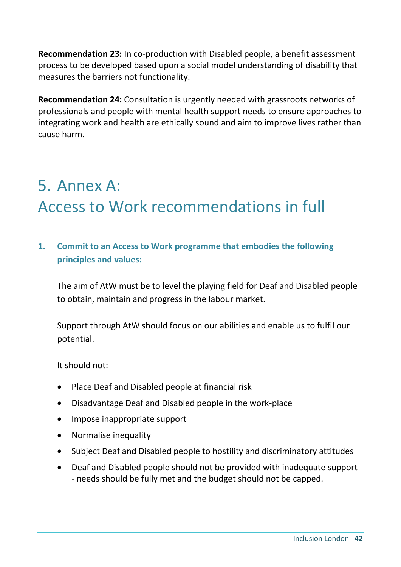**Recommendation 23:** In co-production with Disabled people, a benefit assessment process to be developed based upon a social model understanding of disability that measures the barriers not functionality.

**Recommendation 24:** Consultation is urgently needed with grassroots networks of professionals and people with mental health support needs to ensure approaches to integrating work and health are ethically sound and aim to improve lives rather than cause harm.

## 5. Annex A: Access to Work recommendations in full

**1. Commit to an Access to Work programme that embodies the following principles and values:**

The aim of AtW must be to level the playing field for Deaf and Disabled people to obtain, maintain and progress in the labour market.

Support through AtW should focus on our abilities and enable us to fulfil our potential.

It should not:

- Place Deaf and Disabled people at financial risk
- Disadvantage Deaf and Disabled people in the work-place
- Impose inappropriate support
- Normalise inequality
- Subject Deaf and Disabled people to hostility and discriminatory attitudes
- Deaf and Disabled people should not be provided with inadequate support - needs should be fully met and the budget should not be capped.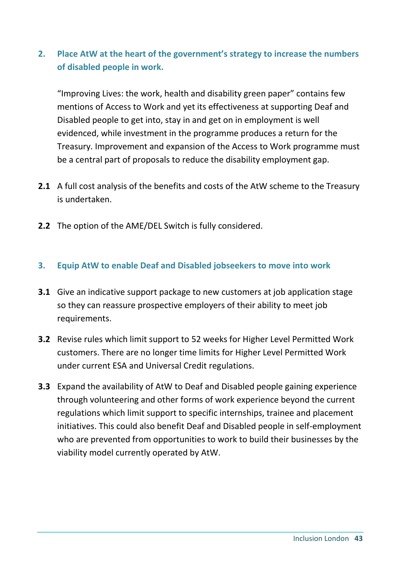## **2. Place AtW at the heart of the government's strategy to increase the numbers of disabled people in work.**

"Improving Lives: the work, health and disability green paper" contains few mentions of Access to Work and yet its effectiveness at supporting Deaf and Disabled people to get into, stay in and get on in employment is well evidenced, while investment in the programme produces a return for the Treasury. Improvement and expansion of the Access to Work programme must be a central part of proposals to reduce the disability employment gap.

- **2.1** A full cost analysis of the benefits and costs of the AtW scheme to the Treasury is undertaken.
- **2.2** The option of the AME/DEL Switch is fully considered.

#### **3. Equip AtW to enable Deaf and Disabled jobseekers to move into work**

- **3.1** Give an indicative support package to new customers at job application stage so they can reassure prospective employers of their ability to meet job requirements.
- **3.2** Revise rules which limit support to 52 weeks for Higher Level Permitted Work customers. There are no longer time limits for Higher Level Permitted Work under current ESA and Universal Credit regulations.
- **3.3** Expand the availability of AtW to Deaf and Disabled people gaining experience through volunteering and other forms of work experience beyond the current regulations which limit support to specific internships, trainee and placement initiatives. This could also benefit Deaf and Disabled people in self-employment who are prevented from opportunities to work to build their businesses by the viability model currently operated by AtW.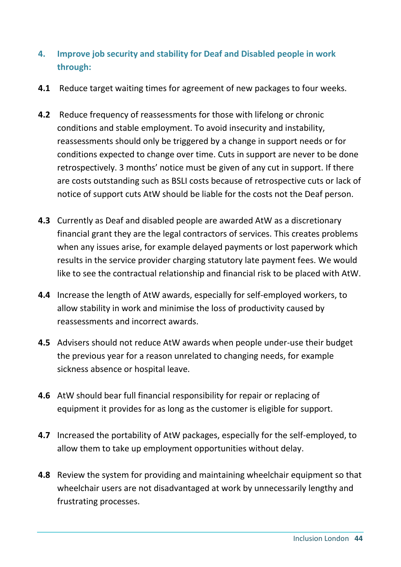- **4. Improve job security and stability for Deaf and Disabled people in work through:**
- **4.1** Reduce target waiting times for agreement of new packages to four weeks.
- **4.2** Reduce frequency of reassessments for those with lifelong or chronic conditions and stable employment. To avoid insecurity and instability, reassessments should only be triggered by a change in support needs or for conditions expected to change over time. Cuts in support are never to be done retrospectively. 3 months' notice must be given of any cut in support. If there are costs outstanding such as BSLI costs because of retrospective cuts or lack of notice of support cuts AtW should be liable for the costs not the Deaf person.
- **4.3** Currently as Deaf and disabled people are awarded AtW as a discretionary financial grant they are the legal contractors of services. This creates problems when any issues arise, for example delayed payments or lost paperwork which results in the service provider charging statutory late payment fees. We would like to see the contractual relationship and financial risk to be placed with AtW.
- **4.4** Increase the length of AtW awards, especially for self-employed workers, to allow stability in work and minimise the loss of productivity caused by reassessments and incorrect awards.
- **4.5** Advisers should not reduce AtW awards when people under-use their budget the previous year for a reason unrelated to changing needs, for example sickness absence or hospital leave.
- **4.6** AtW should bear full financial responsibility for repair or replacing of equipment it provides for as long as the customer is eligible for support.
- **4.7** Increased the portability of AtW packages, especially for the self-employed, to allow them to take up employment opportunities without delay.
- **4.8** Review the system for providing and maintaining wheelchair equipment so that wheelchair users are not disadvantaged at work by unnecessarily lengthy and frustrating processes.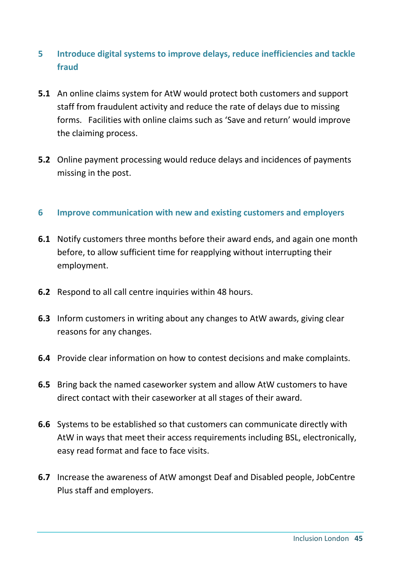## **5 Introduce digital systems to improve delays, reduce inefficiencies and tackle fraud**

- **5.1** An online claims system for AtW would protect both customers and support staff from fraudulent activity and reduce the rate of delays due to missing forms. Facilities with online claims such as 'Save and return' would improve the claiming process.
- **5.2** Online payment processing would reduce delays and incidences of payments missing in the post.

#### **6 Improve communication with new and existing customers and employers**

- **6.1** Notify customers three months before their award ends, and again one month before, to allow sufficient time for reapplying without interrupting their employment.
- **6.2** Respond to all call centre inquiries within 48 hours.
- **6.3** Inform customers in writing about any changes to AtW awards, giving clear reasons for any changes.
- **6.4** Provide clear information on how to contest decisions and make complaints.
- **6.5** Bring back the named caseworker system and allow AtW customers to have direct contact with their caseworker at all stages of their award.
- **6.6** Systems to be established so that customers can communicate directly with AtW in ways that meet their access requirements including BSL, electronically, easy read format and face to face visits.
- **6.7** Increase the awareness of AtW amongst Deaf and Disabled people, JobCentre Plus staff and employers.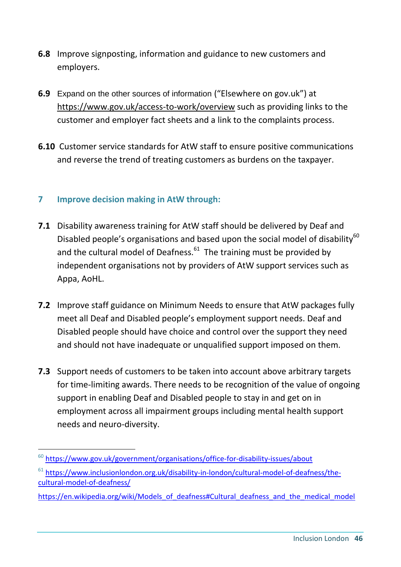- **6.8** Improve signposting, information and guidance to new customers and employers.
- **6.9** Expand on the other sources of information ("Elsewhere on gov.uk") at <https://www.gov.uk/access-to-work/overview> such as providing links to the customer and employer fact sheets and a link to the complaints process.
- **6.10** Customer service standards for AtW staff to ensure positive communications and reverse the trend of treating customers as burdens on the taxpayer.

#### **7 Improve decision making in AtW through:**

- **7.1** Disability awareness training for AtW staff should be delivered by Deaf and Disabled people's organisations and based upon the social model of disability<sup>60</sup> and the cultural model of Deafness.<sup>61</sup> The training must be provided by independent organisations not by providers of AtW support services such as Appa, AoHL.
- **7.2** Improve staff guidance on Minimum Needs to ensure that AtW packages fully meet all Deaf and Disabled people's employment support needs. Deaf and Disabled people should have choice and control over the support they need and should not have inadequate or unqualified support imposed on them.
- **7.3** Support needs of customers to be taken into account above arbitrary targets for time-limiting awards. There needs to be recognition of the value of ongoing support in enabling Deaf and Disabled people to stay in and get on in employment across all impairment groups including mental health support needs and neuro-diversity.

<sup>&</sup>lt;sup>60</sup> <https://www.gov.uk/government/organisations/office-for-disability-issues/about>

<sup>61</sup> [https://www.inclusionlondon.org.uk/disability-in-london/cultural-model-of-deafness/the](https://www.inclusionlondon.org.uk/disability-in-london/cultural-model-of-deafness/the-cultural-model-of-deafness/)[cultural-model-of-deafness/](https://www.inclusionlondon.org.uk/disability-in-london/cultural-model-of-deafness/the-cultural-model-of-deafness/)

[https://en.wikipedia.org/wiki/Models\\_of\\_deafness#Cultural\\_deafness\\_and\\_the\\_medical\\_model](https://en.wikipedia.org/wiki/Models_of_deafness#Cultural_deafness_and_the_medical_model)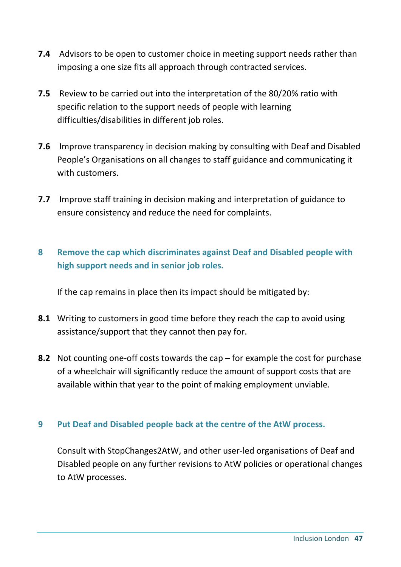- **7.4** Advisors to be open to customer choice in meeting support needs rather than imposing a one size fits all approach through contracted services.
- **7.5** Review to be carried out into the interpretation of the 80/20% ratio with specific relation to the support needs of people with learning difficulties/disabilities in different job roles.
- **7.6** Improve transparency in decision making by consulting with Deaf and Disabled People's Organisations on all changes to staff guidance and communicating it with customers.
- **7.7** Improve staff training in decision making and interpretation of guidance to ensure consistency and reduce the need for complaints.

## **8 Remove the cap which discriminates against Deaf and Disabled people with high support needs and in senior job roles.**

If the cap remains in place then its impact should be mitigated by:

- **8.1** Writing to customers in good time before they reach the cap to avoid using assistance/support that they cannot then pay for.
- **8.2** Not counting one-off costs towards the cap for example the cost for purchase of a wheelchair will significantly reduce the amount of support costs that are available within that year to the point of making employment unviable.

#### **9 Put Deaf and Disabled people back at the centre of the AtW process.**

Consult with StopChanges2AtW, and other user-led organisations of Deaf and Disabled people on any further revisions to AtW policies or operational changes to AtW processes.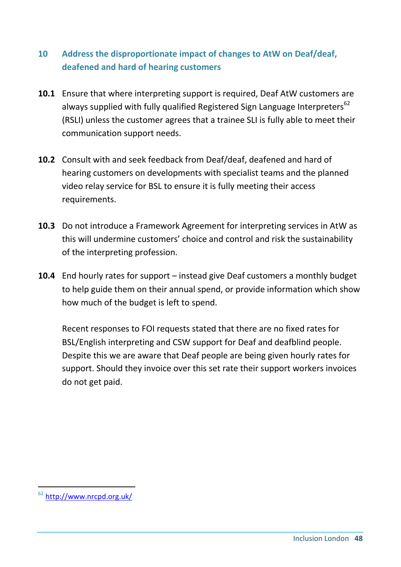## **10 Address the disproportionate impact of changes to AtW on Deaf/deaf, deafened and hard of hearing customers**

- **10.1** Ensure that where interpreting support is required, Deaf AtW customers are always supplied with fully qualified Registered Sign Language Interpreters<sup>62</sup> (RSLI) unless the customer agrees that a trainee SLI is fully able to meet their communication support needs.
- **10.2** Consult with and seek feedback from Deaf/deaf, deafened and hard of hearing customers on developments with specialist teams and the planned video relay service for BSL to ensure it is fully meeting their access requirements.
- **10.3** Do not introduce a Framework Agreement for interpreting services in AtW as this will undermine customers' choice and control and risk the sustainability of the interpreting profession.
- **10.4** End hourly rates for support instead give Deaf customers a monthly budget to help guide them on their annual spend, or provide information which show how much of the budget is left to spend.

Recent responses to FOI requests stated that there are no fixed rates for BSL/English interpreting and CSW support for Deaf and deafblind people. Despite this we are aware that Deaf people are being given hourly rates for support. Should they invoice over this set rate their support workers invoices do not get paid.

<sup>&</sup>lt;sup>62</sup> <http://www.nrcpd.org.uk/>